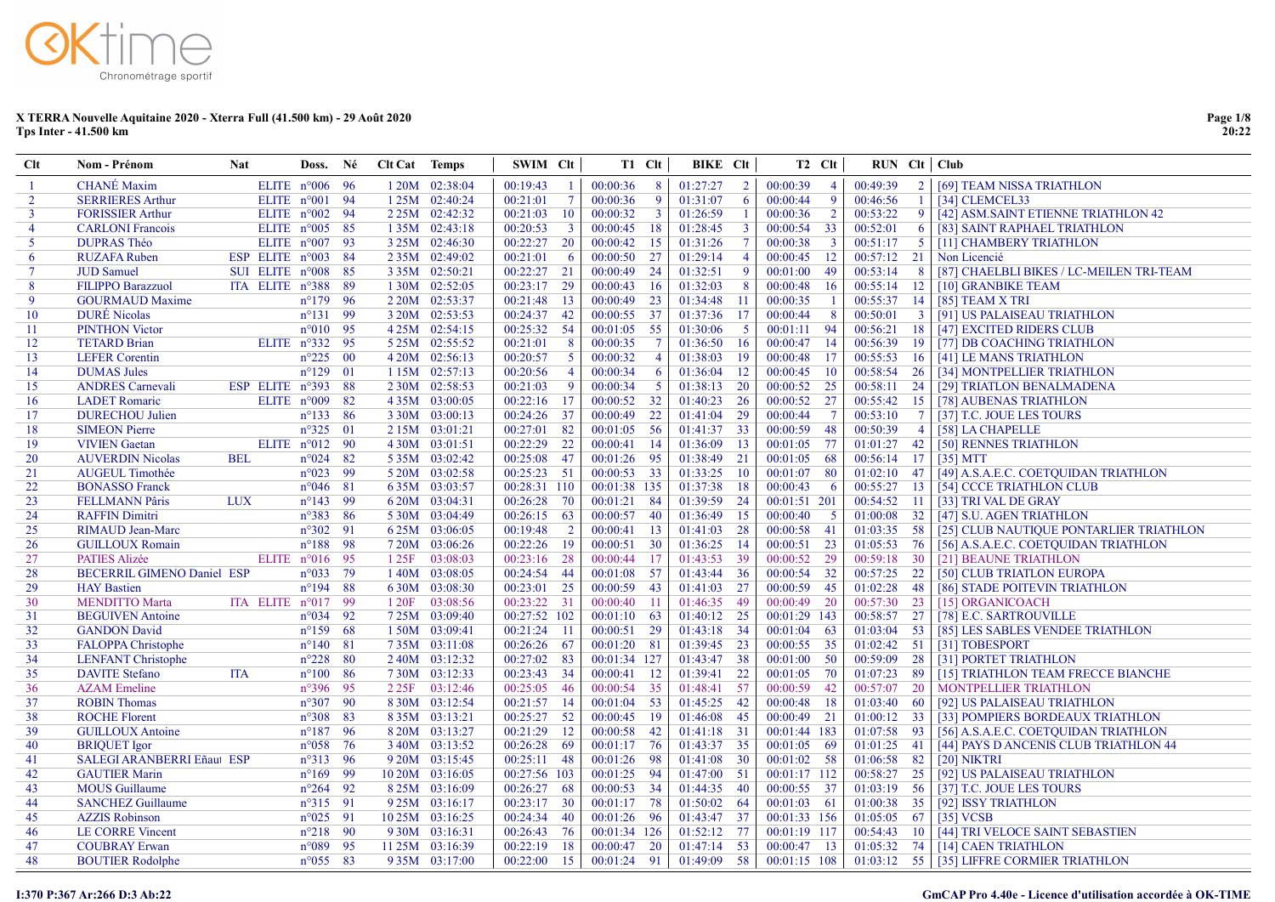# Chronométrage sportif

#### X TERRA Nouvelle Aquitaine 2020 - Xterra Full (41.500 km) - 29 Août 2020 Tps Inter - 41.500 km

| $Cl$           | Nom - Prénom                      | <b>Nat</b>                  | Doss. Né                |                 | Clt Cat Temps |                   | SWIM Clt     |                         |               | T1 Clt          | BIKE CIt      |                | T <sub>2</sub> C <sub>It</sub> | $RUN$ $Clt$ $Club$ |                |                                             |
|----------------|-----------------------------------|-----------------------------|-------------------------|-----------------|---------------|-------------------|--------------|-------------------------|---------------|-----------------|---------------|----------------|--------------------------------|--------------------|----------------|---------------------------------------------|
|                | <b>CHANÉ</b> Maxim                |                             | ELITE $n^{\circ}006$ 96 |                 |               | 1 20M 02:38:04    | 00:19:43     | -1                      | 00:00:36      | 8               | 01:27:27      | 2 <sup>1</sup> | 00:00:39<br>$\overline{4}$     | 00:49:39           |                | 2   [69] TEAM NISSA TRIATHLON               |
| $\mathcal{D}$  | <b>SERRIERES Arthur</b>           |                             | ELITE n°001 94          |                 |               | $125M$ 02:40:24   | 00:21:01     | $\overline{7}$          | 00:00:36      | -9              | 01:31:07      | 6              | 00:00:44<br>-9                 | 00:46:56           |                | [34] CLEMCEL33                              |
| $\mathbf{3}$   | <b>FORISSIER Arthur</b>           |                             | ELITE $n^{\circ}002$ 94 |                 |               | 2 2 5 M 0 2:42:32 | 00:21:03     | <sup>10</sup>           | 00:00:32      | $\overline{3}$  | 01:26:59      | -1             | $\overline{2}$<br>00:00:36     | 00:53:22           | 9              | [42] ASM.SAINT ETIENNE TRIATHLON 42         |
| $\overline{4}$ | <b>CARLONI Francois</b>           |                             | ELITE $n^{\circ}005$ 85 |                 |               | 1 35M 02:43:18    | 00:20:53     | $\overline{\mathbf{3}}$ | 00:00:45      | -18             | 01:28:45      | $\overline{3}$ | 00:00:54<br>33                 | 00:52:01           | 6              | [83] SAINT RAPHAEL TRIATHLON                |
| 5              | <b>DUPRAS Théo</b>                |                             | ELITE $n^{\circ}007$ 93 |                 |               | 3 25M 02:46:30    | 00:22:27     | 20                      | $00:00:42$ 15 |                 | 01:31:26      | $\tau$         | 00:00:38<br>$\overline{3}$     | 00:51:17           | 5 <sup>5</sup> | [11] CHAMBERY TRIATHLON                     |
| 6              | <b>RUZAFA Ruben</b>               | ESP ELITE n°003 84          |                         |                 |               | 2 35M 02:49:02    | 00:21:01     | -6                      | 00:00:50      | -27             | 01:29:14      | $\overline{4}$ | 00:00:45<br>12                 | $00:57:12$ 21      |                | Non Licencié                                |
| $\tau$         | <b>JUD</b> Samuel                 | SUI ELITE $n^{\circ}008$ 85 |                         |                 |               | 3 35M 02:50:21    | 00:22:27     | 21                      | $00:00:49$ 24 |                 | 01:32:51      | 9              | 00:01:00<br>49                 | 00:53:14           | - 8            | [87] CHAELBLI BIKES / LC-MEILEN TRI-TEAM    |
| 8              | <b>FILIPPO Barazzuol</b>          | ITA ELITE n°388 89          |                         |                 |               | 1 30M 02:52:05    | 00:23:17     | 29                      | 00:00:43      | - 16            | 01:32:03      | 8              | 00:00:48<br>16                 | $00:55:14$ 12      |                | [10] GRANBIKE TEAM                          |
| 9              | <b>GOURMAUD Maxime</b>            |                             | $n^{\circ}179$ 96       |                 |               | 2 20M 02:53:37    | 00:21:48     | 13                      | 00:00:49      | 23              | 01:34:48      | 11             | 00:00:35<br>$\overline{1}$     | 00:55:37 14        |                | $[85]$ TEAM X TRI                           |
| 10             | <b>DURÉ</b> Nicolas               |                             | $n^{\circ}131$ 99       |                 |               | 3 20M 02:53:53    | 00:24:37     | 42                      | 00:00:55 37   |                 | 01:37:36      | 17             | 00:00:44<br>8                  | 00:50:01           | $\overline{3}$ | [91] US PALAISEAU TRIATHLON                 |
| -11            | <b>PINTHON Victor</b>             |                             | $n^{\circ}010$ 95       |                 |               | 4 25M 02:54:15    | 00:25:32     | - 54                    | $00:01:05$ 55 |                 | 01:30:06      | $\sqrt{5}$     | 94<br>00:01:11                 | 00:56:21           | 18             | [47] EXCITED RIDERS CLUB                    |
| 12             | <b>TETARD Brian</b>               |                             | ELITE n°332 95          |                 |               | 5 25M 02:55:52    | 00:21:01     | 8                       | 00:00:35      | $\overline{7}$  | 01:36:50      | 16             | 14<br>00:00:47                 | 00:56:39           | -19            | [77] DB COACHING TRIATHLON                  |
| 13             | <b>LEFER Corentin</b>             |                             | $n^{\circ}225$ 00       |                 |               | 4 20M 02:56:13    | 00:20:57     | $\overline{5}$          | 00:00:32      | $\overline{4}$  | 01:38:03      | 19             | 00:00:48<br>17                 | 00:55:53           | -16            | [41] LE MANS TRIATHLON                      |
| 14             | <b>DUMAS Jules</b>                |                             | $n^{\circ}129$          | $\overline{01}$ |               | 1 15M 02:57:13    | 00:20:56     | $\overline{4}$          | 00:00:34      | 6               | 01:36:04      | 12             | 00:00:45<br><b>10</b>          |                    |                | 00:58:54 26 [34] MONTPELLIER TRIATHLON      |
| 15             | <b>ANDRES Carnevali</b>           | ESP ELITE $n^{\circ}393$    |                         | - 88            |               | 2 30M 02:58:53    | 00:21:03     | $\overline{9}$          | 00:00:34      | -5              | 01:38:13 20   |                | 00:00:52<br>25                 | 00:58:11 24        |                | [29] TRIATLON BENALMADENA                   |
| 16             | <b>LADET</b> Romaric              |                             | ELITE n°009             | 82              |               | 435M 03:00:05     | 00:22:16     | -17                     | 00:00:52      | 32              | 01:40:23 26   |                | 27<br>00:00:52                 | 00:55:42           | 15             | [78] AUBENAS TRIATHLON                      |
| 17             | <b>DURECHOU Julien</b>            |                             | $n^{\circ}133$ 86       |                 |               | 3 30M 03:00:13    | 00:24:26     | 37                      | 00:00:49      | 22              | 01:41:04 29   |                | 00:00:44<br>$\overline{7}$     | 00:53:10           | $\overline{7}$ | [37] T.C. JOUE LES TOURS                    |
| -18            | <b>SIMEON</b> Pierre              |                             | $n^{\circ}325$ 01       |                 |               | 2 15M 03:01:21    | 00:27:01     | 82                      | 00:01:05      | - 56            | 01:41:37 33   |                | 48<br>00:00:59                 | 00:50:39           | $\overline{4}$ | [58] LA CHAPELLE                            |
| 19             | <b>VIVIEN</b> Gaetan              |                             | ELITE n°012 90          |                 |               | 4 30M 03:01:51    | 00:22:29     | 22                      | 00:00:41      | -14             | 01:36:09      | -13            | 77<br>00:01:05                 | $01:01:27$ 42      |                | [50] RENNES TRIATHLON                       |
| 20             | <b>AUVERDIN Nicolas</b>           | <b>BEL</b>                  | $n^{\circ}024$          | 82              |               | 5 35M 03:02:42    | 00:25:08     | 47                      | 00:01:26      | - 95            | 01:38:49 21   |                | 68<br>00:01:05                 | 00:56:14 17        |                | [35] MTT                                    |
| 21             | <b>AUGEUL Timothée</b>            |                             | $n^{\circ}023$          | -99             |               | 5 20M 03:02:58    | 00:25:23     | 51                      | 00:00:53 33   |                 | 01:33:25      | - 10           | 80<br>00:01:07                 | $01:02:10$ 47      |                | [49] A.S.A.E.C. COETQUIDAN TRIATHLON        |
| 22             | <b>BONASSO Franck</b>             |                             | $n^{\circ}046$ 81       |                 |               | 635M 03:03:57     | 00:28:31     | 110                     | 00:01:38 135  |                 | 01:37:38      | 18             | 00:00:43<br>-6                 | 00:55:27           | 13             | [54] CCCE TRIATHLON CLUB                    |
| 23             | <b>FELLMANN Pâris</b>             | <b>LUX</b>                  | $n^{\circ}143$ 99       |                 |               | 6 20M 03:04:31    | 00:26:28     | 70                      | 00:01:21 84   |                 | 01:39:59 24   |                | 00:01:51 201                   | 00:54:52           | $-11$          | [33] TRI VAL DE GRAY                        |
| 24             | <b>RAFFIN Dimitri</b>             |                             | $n^{\circ}383$ 86       |                 |               | 5 30M 03:04:49    | 00:26:15     | 63                      | 00:00:57 40   |                 | 01:36:49      | 15             | 00:00:40<br>$\sqrt{5}$         | 01:00:08           | 32             | [47] S.U. AGEN TRIATHLON                    |
| 25             | <b>RIMAUD Jean-Marc</b>           |                             | $n^{\circ}302$ 91       |                 |               | 6.25M 03:06:05    | 00:19:48     | $\overline{2}$          | 00:00:41      | -13             | 01:41:03      | 28             | 41<br>00:00:58                 | 01:03:35           | 58             | [25] CLUB NAUTIQUE PONTARLIER TRIATHLON     |
| 26             | <b>GUILLOUX Romain</b>            |                             | $n^{\circ}188$          | - 98            |               | 7 20M 03:06:26    | 00:22:26     | 19                      | 00:00:51      | - 30            | $01:36:25$ 14 |                | 23<br>00:00:51                 | 01:05:53           | 76             | [56] A.S.A.E.C. COETQUIDAN TRIATHLON        |
| 27             | <b>PATIES Alizée</b>              |                             | ELITE $n^{\circ}016$ 95 |                 | 125F          | 03:08:03          | 00:23:16     | 28                      | 00:00:44 17   |                 | 01:43:53 39   |                | 29<br>00:00:52                 | 00:59:18           | - 30           | [21] BEAUNE TRIATHLON                       |
| 28             | <b>BECERRIL GIMENO Daniel ESP</b> |                             | $n^{\circ}033$          | 79              |               | 140M 03:08:05     | 00:24:54     | 44                      | 00:01:08      | 57              | 01:43:44 36   |                | 32<br>00:00:54                 | 00:57:25           | 22             | [50] CLUB TRIATLON EUROPA                   |
| 29             | <b>HAY Bastien</b>                |                             | $n^{\circ}194$ 88       |                 |               | 630M 03:08:30     | 00:23:01     | 25                      | 00:00:59 43   |                 | 01:41:03 27   |                | 45<br>00:00:59                 | 01:02:28           | -48            | [86] STADE POITEVIN TRIATHLON               |
| 30             | <b>MENDITTO Marta</b>             | ITA ELITE n°017 99          |                         |                 | 120F          | 03:08:56          | 00:23:22     | 31                      | 00:00:40      | $\overline{11}$ | 01:46:35 49   |                | 20<br>00:00:49                 | 00:57:30           | 23             | [15] ORGANICOACH                            |
| 31             | <b>BEGUIVEN</b> Antoine           |                             | $n^{\circ}034$ 92       |                 |               | 7 25M 03:09:40    | 00:27:52 102 |                         | 00:01:10      | - 63            | 01:40:12 25   |                | 00:01:29 143                   | 00:58:57           | 27             | [78] E.C. SARTROUVILLE                      |
| 32             | <b>GANDON David</b>               |                             | $n^{\circ}159$ 68       |                 |               | 1 50M 03:09:41    | 00:21:24     | -11                     | 00:00:51      | 29              | 01:43:18 34   |                | 00:01:04<br>63                 | 01:03:04           | - 53           | [85] LES SABLES VENDEE TRIATHLON            |
| 33             | FALOPPA Christophe                |                             | $n^{\circ}140$ 81       |                 |               | 735M 03:11:08     | 00:26:26     | 67                      | 00:01:20 81   |                 | 01:39:45 23   |                | 35<br>00:00:55                 | 01:02:42           | 51             | [31] TOBESPORT                              |
| 34             | <b>LENFANT Christophe</b>         |                             | $n^{\circ}228$          | - 80            |               | 240M 03:12:32     | 00:27:02     | 83                      | 00:01:34 127  |                 | 01:43:47 38   |                | 50<br>00:01:00                 | 00:59:09           | 28             | [31] PORTET TRIATHLON                       |
| 35             | <b>DAVITE</b> Stefano             | <b>ITA</b>                  | $n^{\circ}100$ 86       |                 |               | 730M 03:12:33     | 00:23:43     | -34                     | $00:00:41$ 12 |                 | $01:39:41$ 22 |                | 00:01:05<br>70                 | 01:07:23           | - 89           | [15] TRIATHLON TEAM FRECCE BIANCHE          |
| 36             | <b>AZAM</b> Emeline               |                             | $n^{\circ}396$ 95       |                 | 225F          | 03:12:46          | 00:25:05     | 46                      | 00:00:54 35   |                 | 01:48:41 57   |                | 42<br>00:00:59                 | 00:57:07           | <sup>20</sup>  | MONTPELLIER TRIATHLON                       |
| 37             | <b>ROBIN Thomas</b>               |                             | $n^{\circ}307$ 90       |                 |               | 8 30M 03:12:54    | 00:21:57     | -14                     | $00:01:04$ 53 |                 | 01:45:25 42   |                | 18<br>00:00:48                 | 01:03:40           | - 60           | [92] US PALAISEAU TRIATHLON                 |
| 38             | <b>ROCHE Florent</b>              |                             | $n^{\circ}308$ 83       |                 |               | 8 35M 03:13:21    | 00:25:27     | 52                      | 00:00:45 19   |                 | 01:46:08 45   |                | 21<br>00:00:49                 | $01:00:12$ 33      |                | [33] POMPIERS BORDEAUX TRIATHLON            |
| 39             | <b>GUILLOUX Antoine</b>           |                             | $n^{\circ}187$ 96       |                 |               | 8 20M 03:13:27    | 00:21:29     | 12                      | 00:00:58 42   |                 | 01:41:18 31   |                | 00:01:44 183                   | 01:07:58 93        |                | [56] A.S.A.E.C. COETQUIDAN TRIATHLON        |
| 40             | <b>BRIQUET</b> Igor               |                             | $n^{\circ}058$ 76       |                 |               | 3 40M 03:13:52    | 00:26:28     | -69                     | 00:01:17 76   |                 | 01:43:37 35   |                | -69<br>00:01:05                | $01:01:25$ 41      |                | [44] PAYS D ANCENIS CLUB TRIATHLON 44       |
| 41             | SALEGI ARANBERRI Eñaut ESP        |                             | $n^{\circ}313$ 96       |                 |               | 9 20M 03:15:45    | 00:25:11     | -48                     | 00:01:26      | - 98            | $01:41:08$ 30 |                | 00:01:02<br>- 58               | $01:06:58$ 82      |                | [20] NIKTRI                                 |
| 42             | <b>GAUTIER Marin</b>              |                             | $n^{\circ}169$ 99       |                 |               | 10 20M 03:16:05   | 00:27:56 103 |                         | $00:01:25$ 94 |                 | $01:47:00$ 51 |                | 00:01:17 112                   | 00:58:27 25        |                | [92] US PALAISEAU TRIATHLON                 |
| 43             | <b>MOUS</b> Guillaume             |                             | $n^{\circ}264$ 92       |                 |               | 8 25M 03:16:09    | 00:26:27     | -68                     | 00:00:53 34   |                 | 01:44:35 40   |                | 00:00:55 37                    | $01:03:19$ 56      |                | [37] T.C. JOUE LES TOURS                    |
| 44             | <b>SANCHEZ Guillaume</b>          |                             | $n^{\circ}315$ 91       |                 |               | 9 25M 03:16:17    | 00:23:17     | - 30                    | 00:01:17 78   |                 | $01:50:02$ 64 |                | - 61<br>00:01:03               | 01:00:38 35        |                | [92] ISSY TRIATHLON                         |
| 45             | <b>AZZIS</b> Robinson             |                             | $n^{\circ}025$ 91       |                 |               | 10 25M 03:16:25   | 00:24:34     | -40                     | 00:01:26 96   |                 | 01:43:47 37   |                | 00:01:33 156                   | 01:05:05 67        |                | [35] VCSB                                   |
| 46             | <b>LE CORRE Vincent</b>           |                             | $n^{\circ}218$ 90       |                 |               | 930M 03:16:31     | 00:26:43     | 76                      | 00:01:34 126  |                 | 01:52:12 77   |                | 00:01:19 117                   | 00:54:43           | -10            | [44] TRI VELOCE SAINT SEBASTIEN             |
| 47             | <b>COUBRAY Erwan</b>              |                             | $n^{\circ}089$ 95       |                 |               | 11 25M 03:16:39   | 00:22:19     | <sup>18</sup>           | $00:00:47$ 20 |                 | 01:47:14 53   |                | $00:00:47$ 13                  | 01:05:32           | - 74           | [14] CAEN TRIATHLON                         |
| 48             | <b>BOUTIER Rodolphe</b>           |                             | $n^{\circ}055$ 83       |                 |               | 935M 03:17:00     | 00:22:00     | 15                      | 00:01:24 91   |                 | 01:49:09 58   |                | 00:01:15 108                   |                    |                | 01:03:12 55   [35] LIFFRE CORMIER TRIATHLON |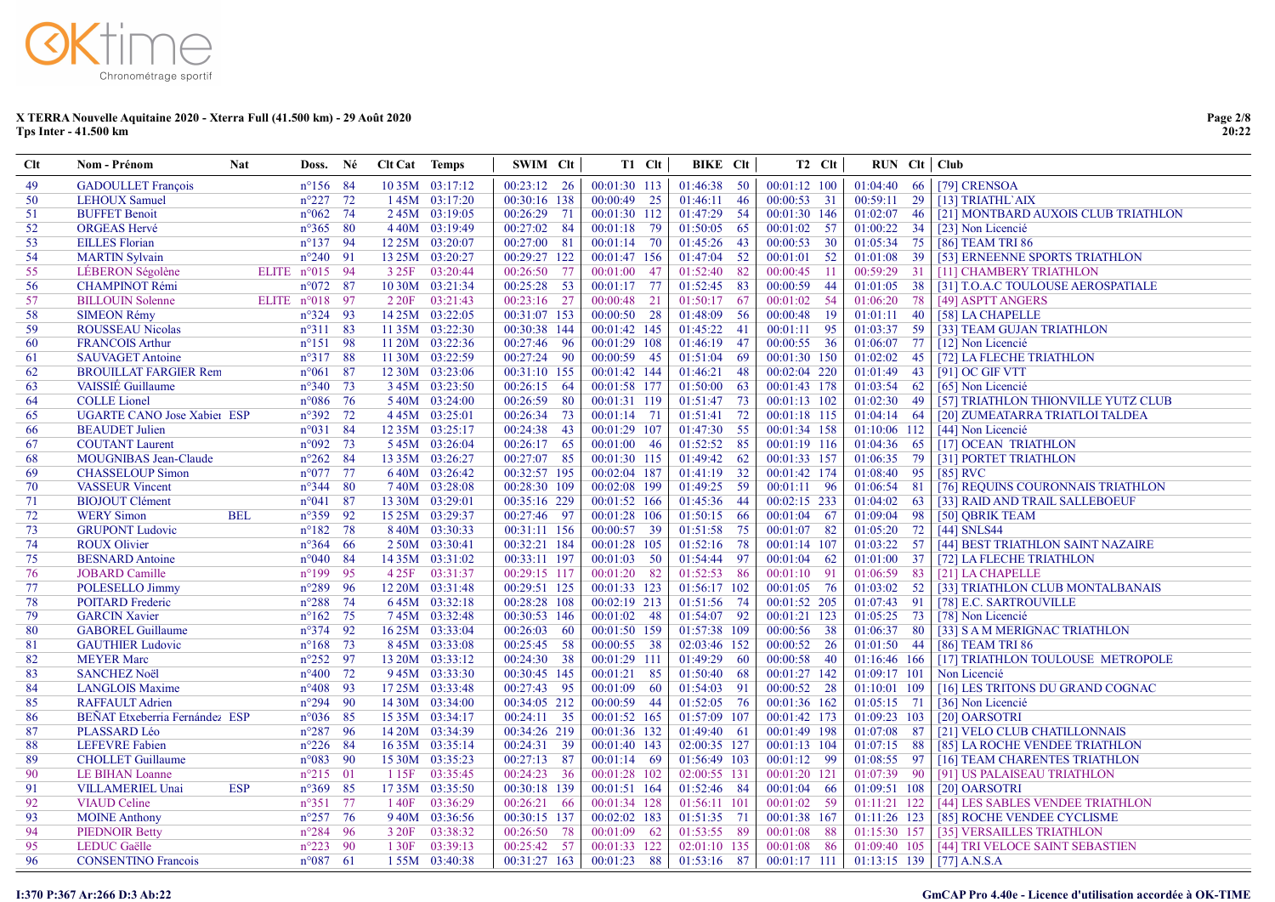| <b>Clt</b> | Nom - Prénom                       | <b>Nat</b> | Doss.             | Né   | <b>Clt Cat</b> Temps |                    | SWIM Clt      |      |               | T1 Clt | <b>BIKE</b> CIt |      | T <sub>2</sub> C <sub>It</sub> | $RUN$ $Clt$ $Club$       |    |                                     |
|------------|------------------------------------|------------|-------------------|------|----------------------|--------------------|---------------|------|---------------|--------|-----------------|------|--------------------------------|--------------------------|----|-------------------------------------|
| 49         | <b>GADOULLET</b> Francois          |            | $n^{\circ}156$ 84 |      |                      | 10 35M 03:17:12    | $00:23:12$ 26 |      | 00:01:30 113  |        | $01:46:38$ 50   |      | $00:01:12$ 100                 |                          |    | 01:04:40 66 [79] CRENSOA            |
| 50         | <b>LEHOUX Samuel</b>               |            | $n^{\circ}227$ 72 |      |                      | $145M$ 03:17:20    | 00:30:16 138  |      | $00:00:49$ 25 |        | 01:46:11        | 46   | $00:00:53$ 31                  | $00:59:11$ 29            |    | $[13]$ TRIATHL AIX                  |
| 51         | <b>BUFFET Benoit</b>               |            | $n^{\circ}062$ 74 |      |                      | 245M 03:19:05      | 00:26:29 71   |      | 00:01:30 112  |        | 01:47:29        | 54   | 00:01:30 146                   | 01:02:07                 | 46 | [21] MONTBARD AUXOIS CLUB TRIATHLON |
| 52         | <b>ORGEAS Hervé</b>                |            | $n^{\circ}365$ 80 |      |                      | 440M 03:19:49      | 00:27:02 84   |      | 00:01:18 79   |        | 01:50:05        | 65   | $00:01:02$ 57                  | $01:00:22$ 34            |    | [23] Non Licencié                   |
| 53         | <b>EILLES</b> Florian              |            | $n^{\circ}137$ 94 |      |                      | 12 25M 03:20:07    | 00:27:00      | 81   | 00:01:14 70   |        | 01:45:26        | 43   | 00:00:53 30                    | 01:05:34 75              |    | [86] TEAM TRI 86                    |
| 54         | <b>MARTIN Sylvain</b>              |            | $n^{\circ}240$ 91 |      |                      | 13 25M 03:20:27    | 00:29:27 122  |      | 00:01:47 156  |        | 01:47:04        | 52   | 00:01:01<br>- 52               | 01:01:08                 | 39 | [53] ERNEENNE SPORTS TRIATHLON      |
| 55         | LÉBERON Ségolène                   |            | ELITE n°015 94    |      |                      | 3 25F 03:20:44     | 00:26:50      | - 77 | 00:01:00 47   |        | 01:52:40        | 82   | $-11$<br>00:00:45              | 00:59:29 31              |    | [11] CHAMBERY TRIATHLON             |
| 56         | <b>CHAMPINOT Rémi</b>              |            | $n^{\circ}072$ 87 |      |                      | $1030M$ $03:21:34$ | 00:25:28      | - 53 | $00:01:17$ 77 |        | 01:52:45        | 83   | $-44$<br>00:00:59              | 01:01:05                 | 38 | [31] T.O.A.C TOULOUSE AEROSPATIALE  |
| 57         | <b>BILLOUIN Solenne</b>            |            | ELITE n°018 97    |      |                      | 2 20F 03:21:43     | $00:23:16$ 27 |      | $00:00:48$ 21 |        | 01:50:17        | 67   | $00:01:02$ 54                  | 01:06:20                 | 78 | [49] ASPTT ANGERS                   |
| 58         | <b>SIMEON Rémy</b>                 |            | $n^{\circ}324$ 93 |      |                      | 14 25M 03:22:05    | 00:31:07 153  |      | $00:00:50$ 28 |        | 01:48:09        | -56  | 00:00:48<br>-19                | $01:01:11$ 40            |    | [58] LA CHAPELLE                    |
| 59         | <b>ROUSSEAU Nicolas</b>            |            | $n^{\circ}311$ 83 |      |                      | 11 35M 03:22:30    | 00:30:38 144  |      | 00:01:42 145  |        | 01:45:22        | 41   | - 95<br>00:01:11               | 01:03:37 59              |    | [33] TEAM GUJAN TRIATHLON           |
| 60         | <b>FRANCOIS Arthur</b>             |            | $n^{\circ}151$ 98 |      |                      | 11 20M 03:22:36    | 00:27:46 96   |      | 00:01:29 108  |        | 01:46:19        | 47   | 00:00:55 36                    | 01:06:07 77              |    | [12] Non Licencié                   |
| 61         | <b>SAUVAGET Antoine</b>            |            | $n^{\circ}317$ 88 |      |                      | 11 30M 03:22:59    | 00:27:24 90   |      | 00:00:59 45   |        | 01:51:04        | 69   | 00:01:30 150                   | $01:02:02$ 45            |    | [72] LA FLECHE TRIATHLON            |
| 62         | <b>BROUILLAT FARGIER Rem</b>       |            | $n^{\circ}061$    | 87   |                      | 12 30M 03:23:06    | 00:31:10 155  |      | 00:01:42 144  |        | 01:46:21        | 48   | 00:02:04 220                   | 01:01:49                 | 43 | $[91]$ OC GIF VTT                   |
| 63         | <b>VAISSIE</b> Guillaume           |            | $n^{\circ}340$ 73 |      |                      | 345M 03:23:50      | $00:26:15$ 64 |      | 00:01:58 177  |        | 01:50:00        | 63   | 00:01:43 178                   | $01:03:54$ 62            |    | [65] Non Licencié                   |
| 64         | <b>COLLE</b> Lionel                |            | $n^{\circ}086$    | 76   |                      | 540M 03:24:00      | 00:26:59      | - 80 | 00:01:31 119  |        | 01:51:47        | 73   | $00:01:13$ 102                 | $01:02:30$ 49            |    | [57] TRIATHLON THIONVILLE YUTZ CLUB |
| 65         | <b>UGARTE CANO Jose Xabier ESP</b> |            | $n^{\circ}392$ 72 |      |                      | 445M 03:25:01      | 00:26:34 73   |      | $00:01:14$ 71 |        | 01:51:41        | 72   | 00:01:18 115                   | 01:04:14 64              |    | [20] ZUMEATARRA TRIATLOI TALDEA     |
| 66         | <b>BEAUDET</b> Julien              |            | $n^{\circ}031$    | - 84 |                      | 12 35M 03:25:17    | 00:24:38      | 43   | 00:01:29 107  |        | 01:47:30        | 55   | 00:01:34 158                   | $01:10:06$ 112           |    | [44] Non Licencié                   |
| 67         | <b>COUTANT Laurent</b>             |            | $n^{\circ}092$ 73 |      |                      | 545M 03:26:04      | 00:26:17 65   |      | 00:01:00 46   |        | 01:52:52        | 85   | 00:01:19 116                   | 01:04:36 65              |    | [17] OCEAN TRIATHLON                |
| 68         | <b>MOUGNIBAS Jean-Claude</b>       |            | $n^{\circ}262$    | - 84 |                      | 13 35M 03:26:27    | 00:27:07 85   |      | 00:01:30 115  |        | 01:49:42        | 62   | 00:01:33 157                   | 01:06:35 79              |    | [31] PORTET TRIATHLON               |
| 69         | <b>CHASSELOUP Simon</b>            |            | $n^{\circ}077$ 77 |      |                      | 640M 03:26:42      | 00:32:57 195  |      | 00:02:04 187  |        | 01:41:19        | 32   | 00:01:42 174                   | 01:08:40 95              |    | $[85]$ RVC                          |
| 70         | <b>VASSEUR Vincent</b>             |            | $n^{\circ}344$ 80 |      |                      | 740M 03:28:08      | 00:28:30 109  |      | 00:02:08 199  |        | 01:49:25        | - 59 | $00:01:11$ 96                  | $01:06:54$ 81            |    | [76] REQUINS COURONNAIS TRIATHLON   |
| 71         | <b>BIOJOUT Clément</b>             |            | $n^{\circ}041$    | - 87 |                      | 13 30M 03:29:01    | 00:35:16 229  |      | 00:01:52 166  |        | 01:45:36 44     |      | 00:02:15 233                   | 01:04:02                 | 63 | [33] RAID AND TRAIL SALLEBOEUF      |
| 72         | <b>WERY Simon</b>                  | <b>BEL</b> | $n^{\circ}359$    | - 92 |                      | 15 25M 03:29:37    | 00:27:46 97   |      | 00:01:28 106  |        | $01:50:15$ 66   |      | 00:01:04 67                    | $\overline{01:09:04}$ 98 |    | [50] QBRIK TEAM                     |
| 73         | <b>GRUPONT Ludovic</b>             |            | $n^{\circ}182$ 78 |      |                      | 840M 03:30:33      | 00:31:11 156  |      | 00:00:57 39   |        | 01:51:58        | 75   | 00:01:07 82                    | 01:05:20                 | 72 | $[44]$ SNLS44                       |
| 74         | <b>ROUX Olivier</b>                |            | $n^{\circ}364$ 66 |      |                      | 2 50M 03:30:41     | 00:32:21 184  |      | 00:01:28 105  |        | 01:52:16        | 78   | 00:01:14 107                   | $01:03:22$ 57            |    | [44] BEST TRIATHLON SAINT NAZAIRE   |
| 75         | <b>BESNARD</b> Antoine             |            | $n^{\circ}040$ 84 |      |                      | 14 35M 03:31:02    | 00:33:11 197  |      | $00:01:03$ 50 |        | 01:54:44        | -97  | 00:01:04 62                    | $01:01:00$ 37            |    | [72] LA FLECHE TRIATHLON            |
| 76         | <b>JOBARD</b> Camille              |            | $n^{\circ}199$    | - 95 |                      | 4 25F 03:31:37     | 00:29:15 117  |      | 00:01:20 82   |        | 01:52:53 86     |      | $00:01:10$ 91                  | 01:06:59                 | 83 | [21] LA CHAPELLE                    |
| 77         | POLESELLO Jimmy                    |            | $n^{\circ}289$ 96 |      |                      | 12 20M 03:31:48    | 00:29:51 125  |      | 00:01:33 123  |        | 01:56:17 102    |      | $00:01:05$ 76                  | $01:03:02$ 52            |    | [33] TRIATHLON CLUB MONTALBANAIS    |
| 78         | <b>POITARD</b> Frederic            |            | $n^{\circ}288$    | - 74 |                      | 645M 03:32:18      | 00:28:28 108  |      | 00:02:19 213  |        | 01:51:56 74     |      | 00:01:52 205                   | $01:07:43$ 91            |    | [78] E.C. SARTROUVILLE              |
| 79         | <b>GARCIN Xavier</b>               |            | $n^{\circ}162$ 75 |      |                      | 745M 03:32:48      | 00:30:53 146  |      | $00:01:02$ 48 |        | 01:54:07 92     |      | 00:01:21 123                   | 01:05:25 73              |    | [78] Non Licencié                   |
| 80         | <b>GABOREL Guillaume</b>           |            | $n^{\circ}374$ 92 |      |                      | 16 25M 03:33:04    | $00:26:03$ 60 |      | 00:01:50 159  |        | 01:57:38 109    |      | 00:00:56 38                    | $01:06:37$ 80            |    | [33] S A M MERIGNAC TRIATHLON       |
| 81         | <b>GAUTHIER Ludovic</b>            |            | $n^{\circ}168$ 73 |      |                      | 845M 03:33:08      | 00:25:45 58   |      | 00:00:55 38   |        | 02:03:46 152    |      | 00:00:52 26                    | $01:01:50$ 44            |    | [86] TEAM TRI 86                    |
| 82         | <b>MEYER Marc</b>                  |            | $n^{\circ}252$ 97 |      |                      | 13 20M 03:33:12    | 00:24:30 38   |      | 00:01:29 111  |        | 01:49:29 60     |      | 00:00:58 40                    | 01:16:46 166             |    | [17] TRIATHLON TOULOUSE METROPOLE   |
| 83         | <b>SANCHEZ Noël</b>                |            | $n^{\circ}400$ 72 |      |                      | 945M 03:33:30      | 00:30:45 145  |      | 00:01:21 85   |        | 01:50:40        | -68  | 00:01:27 142                   | 01:09:17 101             |    | Non Licencié                        |
| 84         | <b>LANGLOIS Maxime</b>             |            | $n^{\circ}408$ 93 |      |                      | 17 25M 03:33:48    | 00:27:43 95   |      | $00:01:09$ 60 |        | 01:54:03        | 91   | $00:00:52$ 28                  | 01:10:01 109             |    | [16] LES TRITONS DU GRAND COGNAC    |
| 85         | <b>RAFFAULT Adrien</b>             |            | $n^{\circ}294$ 90 |      |                      | 14 30M 03:34:00    | 00:34:05 212  |      | 00:00:59 44   |        | 01:52:05 76     |      | 00:01:36 162                   | $01:05:15$ 71            |    | [36] Non Licencié                   |
| 86         | BEÑAT Etxeberria Fernández ESP     |            | $n^{\circ}036$ 85 |      |                      | 15 35M 03:34:17    | $00:24:11$ 35 |      | 00:01:52 165  |        | 01:57:09 107    |      | 00:01:42 173                   | 01:09:23 103             |    | [20] OARSOTRI                       |
| 87         | PLASSARD Léo                       |            | $n^{\circ}287$ 96 |      |                      | 14 20M 03:34:39    | 00:34:26 219  |      | 00:01:36 132  |        | $01:49:40$ 61   |      | 00:01:49 198                   | 01:07:08 87              |    | [21] VELO CLUB CHATILLONNAIS        |
| 88         | <b>LEFEVRE</b> Fabien              |            | $n^{\circ}226$ 84 |      |                      | 16 35M 03:35:14    | 00:24:31 39   |      | 00:01:40 143  |        | 02:00:35 127    |      | 00:01:13 104                   | $01:07:15$ 88            |    | [85] LA ROCHE VENDEE TRIATHLON      |
| 89         | <b>CHOLLET</b> Guillaume           |            | $n^{\circ}083$ 90 |      |                      | 15 30M 03:35:23    | $00:27:13$ 87 |      | $00:01:14$ 69 |        | 01:56:49 103    |      | 00:01:12 99                    | $01:08:55$ 97            |    | [16] TEAM CHARENTES TRIATHLON       |
| 90         | LE BIHAN Loanne                    |            | $n^{\circ}215$ 01 |      |                      | 1 15F 03:35:45     | $00:24:23$ 36 |      | 00:01:28 102  |        | 02:00:55 131    |      | 00:01:20 121                   | $01:07:39$ 90            |    | [91] US PALAISEAU TRIATHLON         |
| 91         | <b>VILLAMERIEL Unai</b>            | <b>ESP</b> | $n^{\circ}369$ 85 |      |                      | 1735M 03:35:50     | 00:30:18 139  |      | 00:01:51 164  |        | 01:52:46 84     |      | $00:01:04$ 66                  | 01:09:51 108             |    | [20] OARSOTRI                       |
| 92         | <b>VIAUD Celine</b>                |            | $n^{\circ}351$ 77 |      | 140F                 | 03:36:29           | 00:26:21      | - 66 | 00:01:34 128  |        | 01:56:11 101    |      | 00:01:02 59                    | 01:11:21 122             |    | [44] LES SABLES VENDEE TRIATHLON    |
| 93         | <b>MOINE Anthony</b>               |            | $n^{\circ}257$ 76 |      |                      | 940M 03:36:56      | 00:30:15 137  |      | 00:02:02 183  |        | 01:51:35 71     |      | 00:01:38 167                   | $01:11:26$ 123           |    | [85] ROCHE VENDEE CYCLISME          |
| 94         | <b>PIEDNOIR Betty</b>              |            | $n^{\circ}284$ 96 |      | 3 20F                | 03:38:32           | 00:26:50      | - 78 | $00:01:09$ 62 |        | 01:53:55 89     |      | 00:01:08 88                    | 01:15:30 157             |    | [35] VERSAILLES TRIATHLON           |
| 95         | <b>LEDUC</b> Gaëlle                |            | $n^{\circ}223$ 90 |      | 1 30F                | 03:39:13           | 00:25:42 57   |      | 00:01:33 122  |        | 02:01:10 135    |      | 00:01:08 86                    | 01:09:40 105             |    | [44] TRI VELOCE SAINT SEBASTIEN     |
| 96         | <b>CONSENTINO Francois</b>         |            | $n^{\circ}087$ 61 |      |                      | 155M 03:40:38      | 00:31:27 163  |      | 00:01:23 88   |        | 01:53:16 87     |      | 00:01:17 111                   |                          |    | $01:13:15$ 139 [ [77] A.N.S.A       |

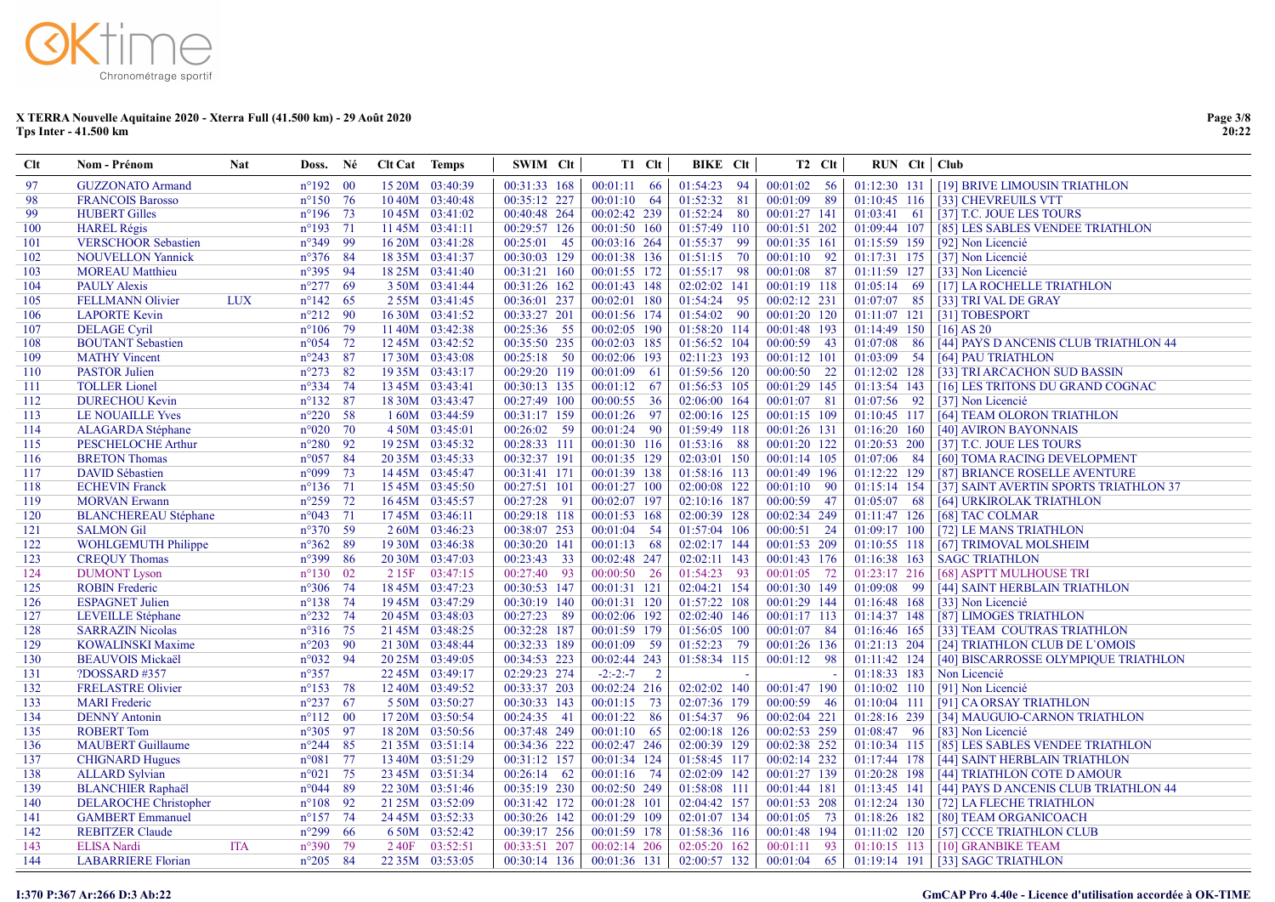| <b>Clt</b>     | <b>Nom - Prénom</b>          | <b>Nat</b> | Doss.              | Né | <b>Clt Cat</b> Temps |                 | SWIM Clt                  |      | T1 Clt                    | <b>BIKE</b> Clt |                | T <sub>2</sub> C <sub>It</sub> | $RUN$ $Clt$ $Club$ |                                              |
|----------------|------------------------------|------------|--------------------|----|----------------------|-----------------|---------------------------|------|---------------------------|-----------------|----------------|--------------------------------|--------------------|----------------------------------------------|
| 97             | <b>GUZZONATO Armand</b>      |            | $n^{\circ}192$ 00  |    |                      | 15 20M 03:40:39 | 00:31:33 168              |      | $00:01:11$ 66             | 01:54:23 94     | $00:01:02$ 56  |                                |                    | 01:12:30 131   [19] BRIVE LIMOUSIN TRIATHLON |
| 98             | <b>FRANCOIS Barosso</b>      |            | $n^{\circ}150$ 76  |    |                      | 10 40M 03:40:48 | 00:35:12 227              |      | $00:01:10$ 64             | 01:52:32 81     | 00:01:09       | -89                            | 01:10:45 116       | [33] CHEVREUILS VTT                          |
| 99             | <b>HUBERT Gilles</b>         |            | $n^{\circ}196$ 73  |    |                      | 10 45M 03:41:02 | 00:40:48 264              |      | 00:02:42 239              | 01:52:24 80     | 00:01:27 141   |                                | 01:03:41 61        | [37] T.C. JOUE LES TOURS                     |
| 100            | <b>HAREL Régis</b>           |            | $n^{\circ}193$ 71  |    |                      | 11 45M 03:41:11 | 00:29:57 126              |      | 00:01:50 160              | 01:57:49 110    | 00:01:51 202   |                                | 01:09:44 107       | [85] LES SABLES VENDEE TRIATHLON             |
| 101            | <b>VERSCHOOR Sebastien</b>   |            | n°349 99           |    |                      | 16 20M 03:41:28 | 00:25:01                  | 45   | 00:03:16 264              | 01:55:37 99     | 00:01:35 161   |                                | 01:15:59 159       | [92] Non Licencié                            |
| 102            | <b>NOUVELLON Yannick</b>     |            | $n^{\circ}376$ 84  |    |                      | 18 35M 03:41:37 | 00:30:03 129              |      | 00:01:38 136              | 01:51:15 70     | $00:01:10$ 92  |                                | 01:17:31 175       | [37] Non Licencié                            |
| 103            | <b>MOREAU</b> Matthieu       |            | $n^{\circ}395$ 94  |    |                      | 18 25M 03:41:40 | $00:\overline{31:21}$ 160 |      | 00:01:55 172              | 01:55:17 98     | $00:01:08$ 87  |                                | 01:11:59 127       | [33] Non Licencié                            |
| 104            | <b>PAULY Alexis</b>          |            | $n^{\circ}277$ 69  |    |                      | 3 50M 03:41:44  | 00:31:26 162              |      | 00:01:43 148              | 02:02:02 141    | 00:01:19 118   |                                | 01:05:14 69        | [17] LA ROCHELLE TRIATHLON                   |
| 105            | <b>FELLMANN Olivier</b>      | <b>LUX</b> | $n^{\circ}142$ 65  |    |                      | 255M 03:41:45   | 00:36:01 237              |      | 00:02:01 180              | 01:54:24 95     | $00:02:12$ 231 |                                | 01:07:07 85        | [33] TRI VAL DE GRAY                         |
| 106            | <b>LAPORTE Kevin</b>         |            | $n^{\circ}212$ 90  |    |                      | 16 30M 03:41:52 | 00:33:27 201              |      | 00:01:56 174              | 01:54:02 90     | 00:01:20 120   |                                | 01:11:07 121       | [31] TOBESPORT                               |
| 107            | <b>DELAGE</b> Cyril          |            | $n^{\circ}106$ 79  |    |                      | 1140M 03:42:38  | 00:25:36 55               |      | 00:02:05 190              | 01:58:20 114    | 00:01:48 193   |                                | 01:14:49 150       | $[16]$ AS 20                                 |
| 108            | <b>BOUTANT Sebastien</b>     |            | $n^{\circ}054$ 72  |    |                      | 12 45M 03:42:52 | 00:35:50 235              |      | 00:02:03 185              | 01:56:52 104    | 00:00:59 43    |                                | 01:07:08 86        | [44] PAYS D ANCENIS CLUB TRIATHLON 44        |
| 109            | <b>MATHY Vincent</b>         |            | $n^{\circ}243$ 87  |    |                      | 1730M 03:43:08  | $00:25:18$ 50             |      | 00:02:06 193              | 02:11:23 193    | $00:01:12$ 101 |                                | $01:03:09$ 54      | [64] PAU TRIATHLON                           |
| 110            | <b>PASTOR Julien</b>         |            | $n^{\circ}273$     | 82 |                      | 19 35M 03:43:17 | 00:29:20 119              |      | $00:01:09$ 61             | 01:59:56 120    | $00:00:50$ 22  |                                | $01:12:02$ 128     | [33] TRI ARCACHON SUD BASSIN                 |
| <sup>111</sup> | <b>TOLLER</b> Lionel         |            | $n^{\circ}334$ 74  |    |                      | 13 45M 03:43:41 | 00:30:13 135              |      | $00:01:12$ 67             | 01:56:53 105    | 00:01:29 145   |                                | 01:13:54 143       | [16] LES TRITONS DU GRAND COGNAC             |
| 112            | <b>DURECHOU Kevin</b>        |            | $n^{\circ}132$     | 87 |                      | 18 30M 03:43:47 | 00:27:49 100              |      | 00:00:55 36               | 02:06:00 164    | 00:01:07 81    |                                | 01:07:56 92        | [37] Non Licencié                            |
| 113            | <b>LE NOUAILLE Yves</b>      |            | $n^{\circ}220$ 58  |    |                      | 160M 03:44:59   | 00:31:17 159              |      | 00:01:26 97               | 02:00:16 125    | 00:01:15 109   |                                | 01:10:45 117       | [64] TEAM OLORON TRIATHLON                   |
| 114            | <b>ALAGARDA</b> Stéphane     |            | $n^{\circ}020$ 70  |    |                      | 450M 03:45:01   | 00:26:02                  | - 59 | 00:01:24 90               | 01:59:49 118    | 00:01:26 131   |                                | 01:16:20 160       | [40] AVIRON BAYONNAIS                        |
| 115            | <b>PESCHELOCHE Arthur</b>    |            | $n^{\circ}280$ 92  |    |                      | 19 25M 03:45:32 | 00:28:33 111              |      | 00:01:30 116              | 01:53:16 88     | 00:01:20 122   |                                | 01:20:53 200       | [37] T.C. JOUE LES TOURS                     |
| 116            | <b>BRETON Thomas</b>         |            | $n^{\circ}057$ 84  |    |                      | 20 35M 03:45:33 | 00:32:37 191              |      | $\overline{00:01:35}$ 129 | 02:03:01 150    | $00:01:14$ 105 |                                | 01:07:06 84        | [60] TOMA RACING DEVELOPMENT                 |
| 117            | <b>DAVID Sébastien</b>       |            | $n^{\circ}$ 099 73 |    |                      | 14 45M 03:45:47 | 00:31:41 171              |      | 00:01:39 138              | 01:58:16 113    | 00:01:49 196   |                                | 01:12:22 129       | [87] BRIANCE ROSELLE AVENTURE                |
| 118            | <b>ECHEVIN Franck</b>        |            | $n^{\circ}136$ 71  |    |                      | 15 45M 03:45:50 | 00:27:51 101              |      | 00:01:27 100              | 02:00:08 122    | $00:01:10$ 90  |                                | 01:15:14 154       | [37] SAINT AVERTIN SPORTS TRIATHLON 37       |
| 119            | <b>MORVAN Erwann</b>         |            | $n^{\circ}259$ 72  |    |                      | 16 45M 03:45:57 | 00:27:28 91               |      | 00:02:07 197              | 02:10:16 187    | 00:00:59 47    |                                | 01:05:07 68        | [64] URKIROLAK TRIATHLON                     |
| 120            | <b>BLANCHEREAU Stéphane</b>  |            | $n^{\circ}043$     | 71 |                      | 1745M 03:46:11  | 00:29:18 118              |      | 00:01:53 168              | 02:00:39 128    | 00:02:34 249   |                                | 01:11:47 126       | [68] TAC COLMAR                              |
| 121            | <b>SALMON Gil</b>            |            | $n^{\circ}370$ 59  |    |                      | 2 60M 03:46:23  | 00:38:07 253              |      | $00:01:04$ 54             | 01:57:04 106    | $00:00:51$ 24  |                                | 01:09:17 100       | [72] LE MANS TRIATHLON                       |
| 122            | <b>WOHLGEMUTH Philippe</b>   |            | $n^{\circ}362$ 89  |    |                      | 19 30M 03:46:38 | 00:30:20 141              |      | $00:01:13$ 68             | 02:02:17 144    | 00:01:53 209   |                                | 01:10:55 118       | [67] TRIMOVAL MOLSHEIM                       |
| 123            | <b>CREQUY Thomas</b>         |            | n°399 86           |    |                      | 20 30M 03:47:03 | 00:23:43                  | 33   | 00:02:48 247              | 02:02:11 143    | 00:01:43 176   |                                | 01:16:38 163       | <b>SAGC TRIATHLON</b>                        |
| 124            | <b>DUMONT</b> Lyson          |            | $n^{\circ}130$ 02  |    | 2 15F                | 03:47:15        | 00:27:40                  | - 93 | 00:00:50 26               | 01:54:23 93     | 00:01:05 72    |                                | 01:23:17 216       | [68] ASPTT MULHOUSE TRI                      |
| 125            | <b>ROBIN</b> Frederic        |            | $n^{\circ}306$ 74  |    |                      | 18 45M 03:47:23 | 00:30:53 147              |      | 00:01:31 121              | 02:04:21 154    | 00:01:30 149   |                                | 01:09:08 99        | [44] SAINT HERBLAIN TRIATHLON                |
| 126            | <b>ESPAGNET Julien</b>       |            | $n^{\circ}138$ 74  |    |                      | 1945M 03:47:29  | 00:30:19 140              |      | 00:01:31 120              | 01:57:22 108    | 00:01:29 144   |                                | 01:16:48 168       | [33] Non Licencié                            |
| 127            | <b>LEVEILLE Stéphane</b>     |            | $n^{\circ}232$ 74  |    |                      | 20 45M 03:48:03 | 00:27:23                  | - 89 | 00:02:06 192              | 02:02:40 146    | $00:01:17$ 113 |                                | 01:14:37 148       | [87] LIMOGES TRIATHLON                       |
| 128            | <b>SARRAZIN Nicolas</b>      |            | $n^{\circ}316$ 75  |    |                      | 21 45M 03:48:25 | 00:32:28 187              |      | 00:01:59 179              | 01:56:05 100    | $00:01:07$ 84  |                                | 01:16:46 165       | [33] TEAM COUTRAS TRIATHLON                  |
| 129            | <b>KOWALINSKI Maxime</b>     |            | $n^{\circ}203$ 90  |    |                      | 21 30M 03:48:44 | 00:32:33 189              |      | 00:01:09 59               | 01:52:23 79     | 00:01:26 136   |                                | 01:21:13 204       | [24] TRIATHLON CLUB DE L'OMOIS               |
| 130            | <b>BEAUVOIS Mickaël</b>      |            | $n^{\circ}032$ 94  |    |                      | 20 25M 03:49:05 | 00:34:53 223              |      | 00:02:44 243              | 01:58:34 115    | 00:01:12 98    |                                | 01:11:42 124       | [40] BISCARROSSE OLYMPIQUE TRIATHLON         |
| 131            | ?DOSSARD #357                |            | $n^{\circ}357$     |    |                      | 22 45M 03:49:17 | 02:29:23 274              |      | $-2:-2:-7$ 2              |                 |                |                                | 01:18:33 183       | Non Licencié                                 |
| 132            | <b>FRELASTRE Olivier</b>     |            | $n^{\circ}153$ 78  |    |                      | 12 40M 03:49:52 | 00:33:37 203              |      | 00:02:24 216              | 02:02:02 140    | 00:01:47 190   |                                | 01:10:02 110       | [91] Non Licencié                            |
| 133            | <b>MARI</b> Frederic         |            | $n^{\circ}237$ 67  |    |                      | 5 50M 03:50:27  | 00:30:33 143              |      | $00:01:15$ 73             | 02:07:36 179    | $00:00:59$ 46  |                                | 01:10:04 111       | [91] CA ORSAY TRIATHLON                      |
| 134            | <b>DENNY Antonin</b>         |            | $n^{\circ}112$ 00  |    |                      | 17 20M 03:50:54 | $00:\overline{24:35}$ 41  |      | 00:01:22 86               | 01:54:37 96     | 00:02:04 221   |                                | 01:28:16 239       | [34] MAUGUIO-CARNON TRIATHLON                |
| 135            | <b>ROBERT Tom</b>            |            | $n^{\circ}305$ 97  |    |                      | 18 20M 03:50:56 | 00:37:48 249              |      | $00:01:10$ 65             | 02:00:18 126    | 00:02:53 259   |                                | 01:08:47 96        | [83] Non Licencié                            |
| 136            | <b>MAUBERT</b> Guillaume     |            | $n^{\circ}244$ 85  |    |                      | 2135M 03:51:14  | 00:34:36 222              |      | 00:02:47 246              | 02:00:39 129    | 00:02:38 252   |                                | 01:10:34 115       | [85] LES SABLES VENDEE TRIATHLON             |
| 137            | <b>CHIGNARD Hugues</b>       |            | $n^{\circ}081$     | 77 |                      | 13 40M 03:51:29 | 00:31:12 157              |      | 00:01:34 124              | 01:58:45 117    | 00:02:14 232   |                                | 01:17:44 178       | [44] SAINT HERBLAIN TRIATHLON                |
| 138            | <b>ALLARD Sylvian</b>        |            | $n^{\circ}021$     | 75 |                      | 23 45M 03:51:34 | $00:26:14$ 62             |      | 00:01:16 74               | 02:02:09 142    | 00:01:27 139   |                                | 01:20:28 198       | [44] TRIATHLON COTE D AMOUR                  |
| 139            | <b>BLANCHIER Raphaël</b>     |            | $n^{\circ}044$ 89  |    |                      | 22 30M 03:51:46 | 00:35:19 230              |      | 00:02:50 249              | 01:58:08 111    | 00:01:44 181   |                                | 01:13:45 141       | [44] PAYS D ANCENIS CLUB TRIATHLON 44        |
| 140            | <b>DELAROCHE Christopher</b> |            | $n^{\circ}108$ 92  |    |                      | 21 25M 03:52:09 | 00:31:42 172              |      | 00:01:28 101              | 02:04:42 157    | 00:01:53 208   |                                | 01:12:24 130       | [72] LA FLECHE TRIATHLON                     |
| 141            | <b>GAMBERT</b> Emmanuel      |            | $n^{\circ}157$ 74  |    |                      | 24 45M 03:52:33 | 00:30:26 142              |      | 00:01:29 109              | 02:01:07 134    | $00:01:05$ 73  |                                | 01:18:26 182       | [80] TEAM ORGANICOACH                        |
| 142            | <b>REBITZER Claude</b>       |            | $n^{\circ}299$ 66  |    |                      | 6 50M 03:52:42  | 00:39:17 256              |      | 00:01:59 178              | 01:58:36 116    | 00:01:48 194   |                                | $01:11:02$ 120     | [57] CCCE TRIATHLON CLUB                     |
| 143            | <b>ELISA</b> Nardi           | <b>ITA</b> | $n^{\circ}390$ 79  |    | 240F                 | 03:52:51        | 00:33:51 207              |      | 00:02:14 206              | 02:05:20 162    | $00:01:11$ 93  |                                | $01:10:15$ 113     | [10] GRANBIKE TEAM                           |
| 144            | <b>LABARRIERE Florian</b>    |            | $n^{\circ}205$ 84  |    |                      | 22 35M 03:53:05 | 00:30:14 136              |      | 00:01:36 131              | 02:00:57 132    | $00:01:04$ 65  |                                |                    | 01:19:14 191   [33] SAGC TRIATHLON           |

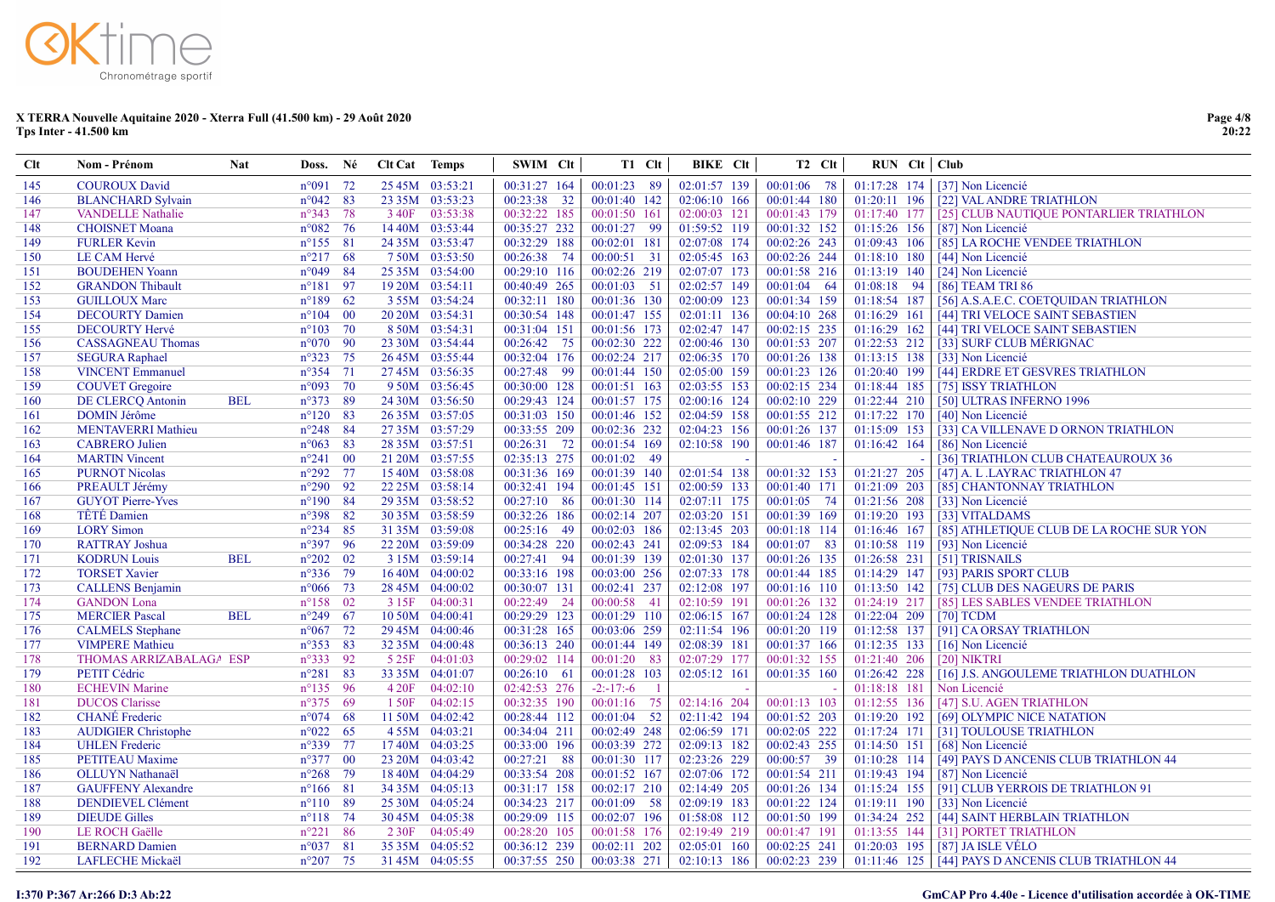| <b>Clt</b> | Nom - Prénom               | <b>Nat</b> | Doss. Né          |                 | <b>Clt Cat</b> Temps |                 | SWIM Clt      |      | T1 Clt        |                | BIKE Clt | T <sub>2</sub> C <sub>It</sub> | $RUN$ $Clt$ $Club$ |                                                      |
|------------|----------------------------|------------|-------------------|-----------------|----------------------|-----------------|---------------|------|---------------|----------------|----------|--------------------------------|--------------------|------------------------------------------------------|
| 145        | <b>COUROUX David</b>       |            | $n^{\circ}091$ 72 |                 |                      | 25 45M 03:53:21 | 00:31:27 164  |      | 00:01:23 89   | $02:01:57$ 139 |          | $00:01:06$ 78                  | 01:17:28 174       | [37] Non Licencié                                    |
| 146        | <b>BLANCHARD Sylvain</b>   |            | $n^{\circ}042$ 83 |                 |                      | 23 35M 03:53:23 | 00:23:38 32   |      | 00:01:40 142  | 02:06:10 166   |          | 00:01:44 180                   | 01:20:11 196       | [22] VAL ANDRE TRIATHLON                             |
| 147        | <b>VANDELLE Nathalie</b>   |            | $n^{\circ}343$ 78 |                 |                      | 3 40F 03:53:38  | 00:32:22 185  |      | 00:01:50 161  | 02:00:03 121   |          | 00:01:43 179                   | 01:17:40 177       | [25] CLUB NAUTIQUE PONTARLIER TRIATHLON              |
| 148        | <b>CHOISNET</b> Moana      |            | $n^{\circ}082$ 76 |                 |                      | 14 40M 03:53:44 | 00:35:27 232  |      | 00:01:27 99   | 01:59:52 119   |          | 00:01:32 152                   | 01:15:26 156       | [87] Non Licencié                                    |
| 149        | <b>FURLER Kevin</b>        |            | $n^{\circ}155$ 81 |                 |                      | 24 35M 03:53:47 | 00:32:29 188  |      | 00:02:01 181  | 02:07:08 174   |          | 00:02:26 243                   | 01:09:43 106       | [85] LA ROCHE VENDEE TRIATHLON                       |
| 150        | LE CAM Hervé               |            | $n^{\circ}217$ 68 |                 |                      | 750M 03:53:50   | 00:26:38      | 74   | 00:00:51 31   | 02:05:45 163   |          | 00:02:26 244                   | 01:18:10 180       | [44] Non Licencié                                    |
| 151        | <b>BOUDEHEN Yoann</b>      |            | $n^{\circ}049$ 84 |                 |                      | 25 35M 03:54:00 | 00:29:10 116  |      | 00:02:26 219  | 02:07:07 173   |          | 00:01:58 216                   | 01:13:19 140       | [24] Non Licencié                                    |
| 152        | <b>GRANDON</b> Thibault    |            | $n^{\circ}181$    | 97              |                      | 19 20M 03:54:11 | 00:40:49 265  |      | $00:01:03$ 51 | 02:02:57 149   |          | 00:01:04 64                    | 01:08:18 94        | [86] TEAM TRI 86                                     |
| 153        | <b>GUILLOUX Marc</b>       |            | $n^{\circ}189$ 62 |                 |                      | 3 55M 03:54:24  | 00:32:11 180  |      | 00:01:36 130  | 02:00:09 123   |          | 00:01:34 159                   | 01:18:54 187       | [56] A.S.A.E.C. COETQUIDAN TRIATHLON                 |
| 154        | <b>DECOURTY Damien</b>     |            | $n^{\circ}104$    | $\overline{00}$ |                      | 20 20M 03:54:31 | 00:30:54 148  |      | 00:01:47 155  | 02:01:11 136   |          | $00:04:10$ 268                 | 01:16:29 161       | [44] TRI VELOCE SAINT SEBASTIEN                      |
| 155        | <b>DECOURTY Hervé</b>      |            | $n^{\circ}103$ 70 |                 |                      | 8 50M 03:54:31  | 00:31:04 151  |      | 00:01:56 173  | 02:02:47 147   |          | $00:02:15$ 235                 | 01:16:29 162       | [44] TRI VELOCE SAINT SEBASTIEN                      |
| 156        | <b>CASSAGNEAU Thomas</b>   |            | $n^{\circ}070$ 90 |                 |                      | 23 30M 03:54:44 | 00:26:42      | 75   | 00:02:30 222  | 02:00:46 130   |          | 00:01:53 207                   | 01:22:53 212       | [33] SURF CLUB MÉRIGNAC                              |
| 157        | <b>SEGURA Raphael</b>      |            | $n^{\circ}323$ 75 |                 |                      | 26 45M 03:55:44 | 00:32:04 176  |      | 00:02:24 217  | 02:06:35 170   |          | 00:01:26 138                   | 01:13:15 138       | [33] Non Licencié                                    |
| 158        | <b>VINCENT</b> Emmanuel    |            | $n^{\circ}354$    | 71              |                      | 27 45M 03:56:35 | 00:27:48      | - 99 | 00:01:44 150  | 02:05:00 159   |          | 00:01:23 126                   | 01:20:40 199       | [44] ERDRE ET GESVRES TRIATHLON                      |
| 159        | <b>COUVET</b> Gregoire     |            | $n°093$ 70        |                 |                      | 9 50M 03:56:45  | 00:30:00 128  |      | 00:01:51 163  | 02:03:55 153   |          | 00:02:15 234                   | 01:18:44 185       | [75] ISSY TRIATHLON                                  |
| 160        | DE CLERCQ Antonin          | <b>BEL</b> | $n^{\circ}373$    | - 89            |                      | 24 30M 03:56:50 | 00:29:43 124  |      | 00:01:57 175  | 02:00:16 124   |          | 00:02:10 229                   | 01:22:44 210       | [50] ULTRAS INFERNO 1996                             |
| 161        | <b>DOMIN Jérôme</b>        |            | $n^{\circ}120$ 83 |                 |                      | 26 35M 03:57:05 | 00:31:03 150  |      | 00:01:46 152  | 02:04:59 158   |          | 00:01:55 212                   | 01:17:22 170       | [40] Non Licencié                                    |
| 162        | <b>MENTAVERRI Mathieu</b>  |            | $n^{\circ}248$ 84 |                 |                      | 27 35M 03:57:29 | 00:33:55 209  |      | 00:02:36 232  | 02:04:23 156   |          | 00:01:26 137                   | 01:15:09 153       | [33] CA VILLENAVE D ORNON TRIATHLON                  |
| 163        | <b>CABRERO</b> Julien      |            | $n^{\circ}063$ 83 |                 |                      | 28 35M 03:57:51 | 00:26:31 72   |      | 00:01:54 169  | 02:10:58 190   |          | 00:01:46 187                   | 01:16:42 164       | [86] Non Licencié                                    |
| 164        | <b>MARTIN Vincent</b>      |            | $n^{\circ}241$    | $\overline{00}$ |                      | 21 20M 03:57:55 | 02:35:13 275  |      | $00:01:02$ 49 |                |          |                                |                    | [36] TRIATHLON CLUB CHATEAUROUX 36                   |
| 165        | <b>PURNOT Nicolas</b>      |            | $n^{\circ}292$ 77 |                 |                      | 15 40M 03:58:08 | 00:31:36 169  |      | 00:01:39 140  | 02:01:54 138   |          | 00:01:32 153                   | 01:21:27 205       | [47] A. L.LAYRAC TRIATHLON 47                        |
| 166        | PREAULT Jérémy             |            | $n^{\circ}290$ 92 |                 |                      | 22 25M 03:58:14 | 00:32:41 194  |      | 00:01:45 151  | 02:00:59 133   |          | 00:01:40 171                   | 01:21:09 203       | [85] CHANTONNAY TRIATHLON                            |
| 167        | <b>GUYOT Pierre-Yves</b>   |            | $n^{\circ}190$ 84 |                 |                      | 29 35M 03:58:52 | $00:27:10$ 86 |      | 00:01:30 114  | 02:07:11 175   |          | 00:01:05 74                    | 01:21:56 208       | [33] Non Licencié                                    |
| 168        | <b>TÊTÉ</b> Damien         |            | n°398 82          |                 |                      | 30 35M 03:58:59 | 00:32:26 186  |      | 00:02:14 207  | 02:03:20 151   |          | 00:01:39 169                   | 01:19:20 193       | [33] VITALDAMS                                       |
| 169        | <b>LORY</b> Simon          |            | $n^{\circ}234$ 85 |                 |                      | 31 35M 03:59:08 | 00:25:16 49   |      | 00:02:03 186  | 02:13:45 203   |          | 00:01:18 114                   | 01:16:46 167       | [85] ATHLETIQUE CLUB DE LA ROCHE SUR YON             |
| 170        | <b>RATTRAY Joshua</b>      |            | n°397 96          |                 |                      | 22 20M 03:59:09 | 00:34:28 220  |      | 00:02:43 241  | 02:09:53 184   |          | 00:01:07 83                    | 01:10:58 119       | [93] Non Licencié                                    |
| 171        | <b>KODRUN Louis</b>        | <b>BEL</b> | $n^{\circ}202$ 02 |                 |                      | 3 15M 03:59:14  | 00:27:41 94   |      | 00:01:39 139  | 02:01:30 137   |          | 00:01:26 135                   | 01:26:58 231       | [51] TRISNAILS                                       |
| 172        | <b>TORSET Xavier</b>       |            | $n^{\circ}336$ 79 |                 |                      | 16 40M 04:00:02 | 00:33:16 198  |      | 00:03:00 256  | 02:07:33 178   |          | 00:01:44 185                   | 01:14:29 147       | [93] PARIS SPORT CLUB                                |
| 173        | <b>CALLENS Benjamin</b>    |            | $n^{\circ}066$ 73 |                 |                      | 28 45M 04:00:02 | 00:30:07 131  |      | 00:02:41 237  | 02:12:08 197   |          | 00:01:16 110                   | $01:13:50$ 142     | [75] CLUB DES NAGEURS DE PARIS                       |
| 174        | <b>GANDON</b> Lona         |            | $n^{\circ}158$ 02 |                 |                      | 3 15F 04:00:31  | 00:22:49 24   |      | 00:00:58 41   | 02:10:59 191   |          | 00:01:26 132                   | 01:24:19 217       | [85] LES SABLES VENDEE TRIATHLON                     |
| 175        | <b>MERCIER Pascal</b>      | <b>BEL</b> | $n^{\circ}249$ 67 |                 |                      | 10 50M 04:00:41 | 00:29:29 123  |      | 00:01:29 110  | 02:06:15 167   |          | 00:01:24 128                   | 01:22:04 209       | $[70]$ TCDM                                          |
| 176        | <b>CALMELS</b> Stephane    |            | $n^{\circ}067$ 72 |                 |                      | 29 45M 04:00:46 | 00:31:28 165  |      | 00:03:06 259  | 02:11:54 196   |          | 00:01:20 119                   | 01:12:58 137       | [91] CA ORSAY TRIATHLON                              |
| 177        | <b>VIMPERE Mathieu</b>     |            | $n^{\circ}353$ 83 |                 |                      | 32 35M 04:00:48 | 00:36:13 240  |      | 00:01:44 149  | 02:08:39 181   |          | 00:01:37 166                   | 01:12:35 133       | [16] Non Licencié                                    |
| 178        | THOMAS ARRIZABALAGA ESP    |            | $n^{\circ}333$ 92 |                 |                      | 5 25F 04:01:03  | 00:29:02 114  |      | 00:01:20 83   | 02:07:29 177   |          | 00:01:32 155                   | 01:21:40 206       | [20] NIKTRI                                          |
| 179        | PETIT Cédric               |            | $n^{\circ}281$ 83 |                 |                      | 33 35M 04:01:07 | $00:26:10$ 61 |      | 00:01:28 103  | 02:05:12 161   |          | 00:01:35 160                   | 01:26:42 228       | [16] J.S. ANGOULEME TRIATHLON DUATHLON               |
| 180        | <b>ECHEVIN Marine</b>      |            | $n^{\circ}135$ 96 |                 | 4 20F                | 04:02:10        | 02:42:53 276  |      | $-2: -17: -6$ |                |          |                                | 01:18:18 181       | Non Licencié                                         |
| 181        | <b>DUCOS</b> Clarisse      |            | $n^{\circ}375$ 69 |                 | 1 50F                | 04:02:15        | 00:32:35 190  |      | 00:01:16 75   | 02:14:16 204   |          | 00:01:13 103                   | 01:12:55 136       | [47] S.U. AGEN TRIATHLON                             |
| 182        | <b>CHANÉ</b> Frederic      |            | $n^{\circ}074$ 68 |                 |                      | 11 50M 04:02:42 | 00:28:44 112  |      | $00:01:04$ 52 | 02:11:42 194   |          | 00:01:52 203                   | 01:19:20 192       | [69] OLYMPIC NICE NATATION                           |
| 183        | <b>AUDIGIER Christophe</b> |            | $n^{\circ}022$ 65 |                 |                      | 455M 04:03:21   | 00:34:04 211  |      | 00:02:49 248  | 02:06:59 171   |          | 00:02:05 222                   | 01:17:24 171       | [31] TOULOUSE TRIATHLON                              |
| 184        | <b>UHLEN</b> Frederic      |            | $n^{\circ}339$ 77 |                 |                      | 1740M 04:03:25  | 00:33:00 196  |      | 00:03:39 272  | 02:09:13 182   |          | 00:02:43 255                   | 01:14:50 151       | [68] Non Licencié                                    |
| 185        | <b>PETITEAU</b> Maxime     |            | $n^{\circ}377$ 00 |                 |                      | 23 20M 04:03:42 | 00:27:21      | - 88 | 00:01:30 117  | 02:23:26 229   |          | 00:00:57 39                    | 01:10:28 114       | [49] PAYS D ANCENIS CLUB TRIATHLON 44                |
| 186        | OLLUYN Nathanaël           |            | $n^{\circ}268$ 79 |                 |                      | 18 40M 04:04:29 | 00:33:54 208  |      | 00:01:52 167  | 02:07:06 172   |          | 00:01:54 211                   | 01:19:43 194       | [87] Non Licencié                                    |
| 187        | <b>GAUFFENY Alexandre</b>  |            | $n^{\circ}166$ 81 |                 |                      | 34 35M 04:05:13 | 00:31:17 158  |      | 00:02:17 210  | 02:14:49 205   |          | 00:01:26 134                   | 01:15:24 155       | [91] CLUB YERROIS DE TRIATHLON 91                    |
| 188        | <b>DENDIEVEL Clément</b>   |            | $n^{\circ}110$ 89 |                 |                      | 25 30M 04:05:24 | 00:34:23 217  |      | 00:01:09 58   | 02:09:19 183   |          | 00:01:22 124                   | 01:19:11 190       | [33] Non Licencié                                    |
| 189        | <b>DIEUDE Gilles</b>       |            | $n^{\circ}118$ 74 |                 |                      | 30 45M 04:05:38 | 00:29:09 115  |      | 00:02:07 196  | 01:58:08 112   |          | 00:01:50 199                   | 01:34:24 252       | [44] SAINT HERBLAIN TRIATHLON                        |
| 190        | LE ROCH Gaëlle             |            | $n^{\circ}221$ 86 |                 |                      | 2 30F 04:05:49  | 00:28:20 105  |      | 00:01:58 176  | 02:19:49 219   |          | 00:01:47 191                   | 01:13:55 144       | [31] PORTET TRIATHLON                                |
| 191        | <b>BERNARD Damien</b>      |            | $n^{\circ}037$ 81 |                 |                      | 35 35M 04:05:52 | 00:36:12 239  |      | 00:02:11 202  | 02:05:01 160   |          | 00:02:25 241                   | 01:20:03 195       | [87] JA ISLE VÉLO                                    |
| 192        | LAFLECHE Mickaël           |            | $n^{\circ}207$ 75 |                 |                      | 31 45M 04:05:55 | 00:37:55 250  |      | 00:03:38 271  | 02:10:13 186   |          | 00:02:23 239                   |                    | 01:11:46 125   [44] PAYS D ANCENIS CLUB TRIATHLON 44 |

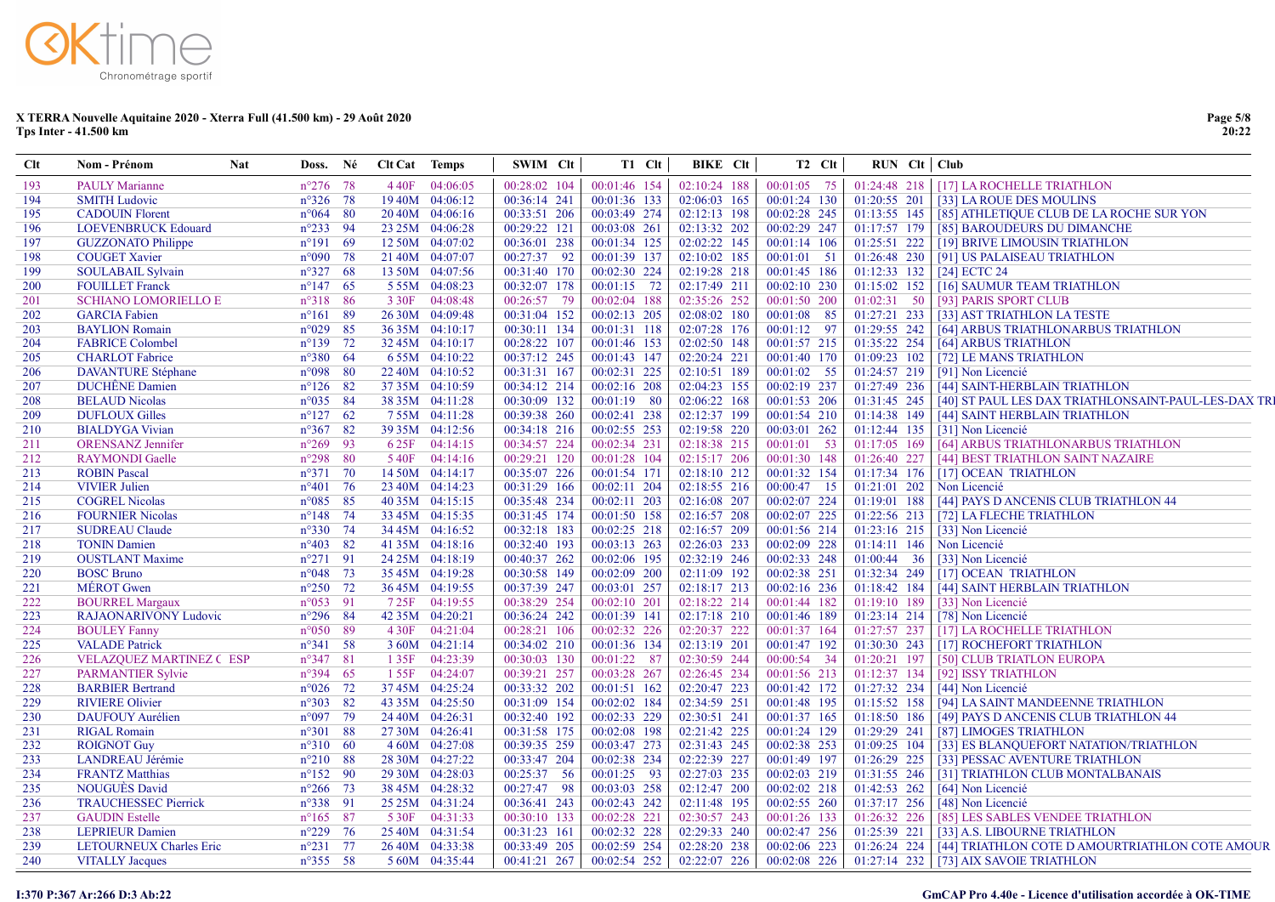| $n^{\circ}276$ 78<br>4 40F 04:06:05<br>00:28:02 104<br>00:01:46 154<br>02:10:24 188<br>$00:01:05$ 75<br>01:24:48 218   [17] LA ROCHELLE TRIATHLON<br><b>PAULY Marianne</b><br><b>SMITH Ludovic</b><br>$n^{\circ}326$ 78<br>1940M 04:06:12<br>00:36:14 241<br>00:01:36 133<br>02:06:03 165<br>$00:01:24$ 130<br>01:20:55 201   [33] LA ROUE DES MOULINS<br>194<br><b>CADOUIN Florent</b><br>$n^{\circ}064$ 80<br>20 40M 04:06:16<br>00:33:51 206<br>00:03:49 274<br>02:12:13 198<br>00:02:28 245<br>01:13:55 145   [85] ATHLETIQUE CLUB DE LA ROCHE SUR YON<br>195<br>00:02:29 247<br><b>LOEVENBRUCK Edouard</b><br>$n^{\circ}233$ 94<br>23 25M 04:06:28<br>00:29:22 121<br>00:03:08 261<br>02:13:32 202<br>01:17:57 179<br>[85] BAROUDEURS DU DIMANCHE<br>196<br>02:02:22 145<br><b>GUZZONATO Philippe</b><br>$n^{\circ}191$ 69<br>12 50M 04:07:02<br>00:36:01 238<br>00:01:34 125<br>00:01:14 106<br>$01:25:51$ 222   [19] BRIVE LIMOUSIN TRIATHLON<br>197<br><b>COUGET Xavier</b><br>$n^{\circ}090$ 78<br>00:27:37 92<br>00:01:39 137<br>02:10:02 185<br>21 40M 04:07:07<br>$00:01:01$ 51<br>$01:26:48$ 230<br>[91] US PALAISEAU TRIATHLON<br>198<br>$n^{\circ}327$ 68<br>00:02:30 224<br>02:19:28 218<br>00:01:45 186<br>$01:12:33$ 132<br>199<br><b>SOULABAIL Sylvain</b><br>13 50M 04:07:56<br>00:31:40 170<br>[24] ECTC 24<br><b>FOUILLET</b> Franck<br>$n^{\circ}147$ 65<br>00:32:07 178<br>00:01:15 72<br>02:17:49 211<br>00:02:10 230<br>$01:15:02$ 152<br>5 5 5 M 04:08:23<br>[16] SAUMUR TEAM TRIATHLON<br>$n^{\circ}318$ 86<br>3 30F 04:08:48<br>00:26:57 79<br>00:02:04 188<br>02:35:26 252<br>00:01:50 200<br>01:02:31 50<br><b>SCHIANO LOMORIELLO E</b><br>[93] PARIS SPORT CLUB<br><b>GARCIA</b> Fabien<br>$n^{\circ}161$ 89<br>26 30M 04:09:48<br>00:31:04 152<br>00:02:13 205<br>02:08:02 180<br>$00:01:08$ 85<br>$01:27:21$ 233<br>[33] AST TRIATHLON LA TESTE<br>$n^{\circ}029$ 85<br>00:30:11 134<br>00:01:31 118<br>02:07:28 176<br>00:01:12 97<br>01:29:55 242<br>[64] ARBUS TRIATHLONARBUS TRIATHLON<br><b>BAYLION</b> Romain<br>36 35M 04:10:17<br>$n^{\circ}139$ 72<br>00:28:22 107<br>00:01:46 153<br>02:02:50 148<br>00:01:57 215<br>01:35:22 254<br><b>FABRICE Colombel</b><br>32 45M 04:10:17<br>[64] ARBUS TRIATHLON<br><b>CHARLOT</b> Fabrice<br>$n^{\circ}380$ 64<br>6 55M 04:10:22<br>00:37:12 245<br>00:01:43 147<br>02:20:24 221<br>00:01:40 170<br>01:09:23 102<br>[72] LE MANS TRIATHLON<br>$n°098$ 80<br>00:02:31 225<br>02:10:51 189<br><b>DAVANTURE</b> Stéphane<br>22 40M 04:10:52<br>00:31:31 167<br>$00:01:02$ 55<br>01:24:57 219<br>[91] Non Licencié<br>00:02:16 208<br>00:02:19 237<br><b>DUCHÊNE</b> Damien<br>$n^{\circ}126$ 82<br>37 35M 04:10:59<br>00:34:12 214<br>02:04:23 155<br>01:27:49 236<br>[44] SAINT-HERBLAIN TRIATHLON<br><b>BELAUD Nicolas</b><br>$n^{\circ}035$ 84<br>00:30:09 132<br>$00:01:19$ 80<br>02:06:22 168<br>01:31:45 245<br>[40] ST PAUL LES DAX TRIATHLONSAINT-PAUL-LES-DAX TRI<br>38 35M 04:11:28<br>00:01:53 206<br><b>DUFLOUX Gilles</b><br>$n^{\circ}127$ 62<br>00:39:38 260<br>00:02:41 238<br>02:12:37 199<br>00:01:54 210<br>01:14:38 149<br>755M 04:11:28<br>[44] SAINT HERBLAIN TRIATHLON<br>$n^{\circ}367$ 82<br>00:34:18 216<br>00:02:55 253<br>02:19:58 220<br>00:03:01 262<br>01:12:44 135<br><b>BIALDYGA Vivian</b><br>39 35M 04:12:56<br>[31] Non Licencié<br>$n^{\circ}269$ 93<br>00:34:57 224<br>00:02:34 231<br>02:18:38 215<br>$00:01:01$ 53<br>01:17:05 169<br><b>ORENSANZ</b> Jennifer<br>6 25F 04:14:15<br>[64] ARBUS TRIATHLONARBUS TRIATHLON<br>$n^{\circ}298$ 80<br>00:01:30 148<br><b>RAYMONDI</b> Gaelle<br>540F 04:14:16<br>00:29:21 120<br>00:01:28 104<br>02:15:17 206<br>01:26:40 227<br>[44] BEST TRIATHLON SAINT NAZAIRE<br>00:01:32 154<br><b>ROBIN Pascal</b><br>$n^{\circ}371$ 70<br>14 50M 04:14:17<br>00:35:07 226<br>00:01:54 171<br>02:18:10 212<br>01:17:34 176<br>[17] OCEAN TRIATHLON<br>$n^{\circ}401$ 76<br>00:31:29 166<br>00:00:47 15<br><b>VIVIER Julien</b><br>23 40M 04:14:23<br>00:02:11 204<br>02:18:55 216<br>01:21:01 202<br>Non Licencié<br>$n^{\circ}085$ 85<br>00:35:48 234<br>00:02:11 203<br>02:16:08 207<br>00:02:07 224<br>01:19:01 188<br>215<br><b>COGREL Nicolas</b><br>40 35M 04:15:15<br>[44] PAYS D ANCENIS CLUB TRIATHLON 44<br>$n^{\circ}148$ 74<br>00:31:45 174<br>00:01:50 158<br>02:16:57 208<br>00:02:07 225<br>01:22:56 213<br>216<br><b>FOURNIER Nicolas</b><br>33 45M 04:15:35<br>[72] LA FLECHE TRIATHLON<br>00:32:18 183<br>00:02:25 218<br>02:16:57 209<br>00:01:56 214<br>01:23:16 215<br>[33] Non Licencié<br>217<br><b>SUDREAU Claude</b><br>$n^{\circ}330$ 74<br>34 45M 04:16:52<br>$n^{\circ}403$ 82<br>00:32:40 193<br>00:03:13 263<br>02:26:03 233<br>00:02:09 228<br><b>TONIN Damien</b><br>41 35M 04:18:16<br>$01:14:11$ 146<br>Non Licencié<br>00:02:06 195<br>02:32:19 246<br>00:02:33 248<br><b>OUSTLANT Maxime</b><br>$n^{\circ}271$ 91<br>24 25M 04:18:19<br>00:40:37 262<br>01:00:44 36<br>[33] Non Licencié<br>219<br>00:02:38 251<br>220<br><b>BOSC Bruno</b><br>$n^{\circ}048$ 73<br>35 45M 04:19:28<br>00:30:58 149<br>00:02:09 200<br>02:11:09 192<br>01:32:34 249<br>[17] OCEAN TRIATHLON<br>00:02:16 236<br>221<br><b>MEROT</b> Gwen<br>$n^{\circ}250$ 72<br>36 45M 04:19:55<br>00:37:39 247<br>00:03:01 257<br>02:18:17 213<br>01:18:42 184<br>[44] SAINT HERBLAIN TRIATHLON<br>222<br>$n^{\circ}053$ 91<br>725F 04:19:55<br>00:38:29 254<br>00:02:10 201<br>02:18:22 214<br>00:01:44 182<br>01:19:10 189<br>[33] Non Licencié<br><b>BOURREL Margaux</b><br><b>RAJAONARIVONY Ludovic</b><br>$n^{\circ}296$ 84<br>42 35M 04:20:21<br>00:36:24 242<br>00:01:39 141<br>02:17:18 210<br>01:23:14 214<br>[78] Non Licencié<br>223<br>00:01:46 189<br>$n^{\circ}050$ 89<br>4 30F 04:21:04<br>00:28:21 106<br>00:02:32 226<br>02:20:37 222<br>00:01:37 164<br>01:27:57 237<br>[17] LA ROCHELLE TRIATHLON<br>224<br><b>BOULEY Fanny</b><br><b>VALADE</b> Patrick<br>$n^{\circ}341$ 58<br>00:34:02 210<br>00:01:36 134<br>02:13:19 201<br>00:01:47 192<br>01:30:30 243<br>[17] ROCHEFORT TRIATHLON<br>225<br>3 60M 04:21:14<br>00:01:22 87<br>02:30:59 244<br>226<br><b>VELAZQUEZ MARTINEZ C ESP</b><br>$n^{\circ}347$ 81<br>135F 04:23:39<br>00:30:03 130<br>$00:00:54$ 34<br>01:20:21 197<br>[50] CLUB TRIATLON EUROPA<br>01:12:37 134<br>227<br><b>PARMANTIER Sylvie</b><br>$n^{\circ}394$ 65<br>00:39:21 257<br>00:03:28 267<br>02:26:45 234<br>00:01:56 213<br>[92] ISSY TRIATHLON<br>1 55F 04:24:07<br>00:33:32 202<br>02:20:47 223<br>228<br><b>BARBIER Bertrand</b><br>$n^{\circ}026$ 72<br>37 45M 04:25:24<br>00:01:51 162<br>00:01:42 172<br>01:27:32 234<br>[44] Non Licencié<br><b>RIVIERE Olivier</b><br>00:02:02 184<br>02:34:59 251<br>01:15:52 158<br>$n^{\circ}303$ 82<br>43 35M 04:25:50<br>00:31:09 154<br>00:01:48 195<br>[94] LA SAINT MANDEENNE TRIATHLON<br>00:32:40 192<br>00:02:33 229<br>02:30:51 241<br>00:01:37 165<br>01:18:50 186<br><b>DAUFOUY Aurélien</b><br>$n^{\circ}097$ 79<br>24 40M 04:26:31<br>[49] PAYS D ANCENIS CLUB TRIATHLON 44<br>00:31:58 175<br>00:02:08 198<br>02:21:42 225<br>00:01:24 129<br>01:29:29 241<br><b>RIGAL Romain</b><br>$n^{\circ}301$ 88<br>27 30M 04:26:41<br>[87] LIMOGES TRIATHLON<br>4 60M 04:27:08<br>00:39:35 259<br>00:03:47 273<br>02:31:43 245<br>00:02:38 253<br>01:09:25 104<br><b>ROIGNOT Guy</b><br>$n^{\circ}310$ 60<br>[33] ES BLANQUEFORT NATATION/TRIATHLON<br>LANDREAU Jérémie<br>00:33:47 204<br>00:02:38 234<br>02:22:39 227<br>00:01:49 197<br>01:26:29 225<br>[33] PESSAC AVENTURE TRIATHLON<br>$n^{\circ}210$ 88<br>28 30M 04:27:22<br><b>FRANTZ Matthias</b><br>$n^{\circ}152$ 90<br>00:25:37 56<br>00:01:25 93<br>02:27:03 235<br>00:02:03 219<br>01:31:55 246<br>234<br>29 30M 04:28:03<br>[31] TRIATHLON CLUB MONTALBANAIS<br><b>NOUGUÉS David</b><br>$n^{\circ}266$ 73<br>00:27:47 98<br>00:03:03 258<br>02:12:47 200<br>00:02:02 218<br>01:42:53 262<br>38 45M 04:28:32<br>[64] Non Licencié<br>235<br>00:02:43 242<br>02:11:48 195<br>00:02:55 260<br><b>TRAUCHESSEC Pierrick</b><br>$n^{\circ}338$ 91<br>25 25 M 04:31:24<br>00:36:41 243<br>01:37:17 256<br>[48] Non Licencié<br>236<br><b>GAUDIN</b> Estelle<br>$n^{\circ}165$ 87<br>5 30F 04:31:33<br>00:30:10 133<br>00:02:28 221<br>02:30:57 243<br>00:01:26 133<br>01:26:32 226<br>[85] LES SABLES VENDEE TRIATHLON<br>00:31:23 161<br>00:02:32 228<br>02:29:33 240<br>00:02:47 256<br><b>LEPRIEUR Damien</b><br>$n^{\circ}229$ 76<br>25 40M 04:31:54<br>01:25:39 221<br>[33] A.S. LIBOURNE TRIATHLON<br>00:02:59 254<br>02:28:20 238<br>LETOURNEUX Charles Eric<br>$n^{\circ}231$ 77<br>26 40M 04:33:38<br>00:33:49 205<br>00:02:06 223<br>$01:26:24$ 224<br>[44] TRIATHLON COTE D AMOURTRIATHLON COTE AMOUR<br>$n^{\circ}355$ 58<br>00:41:21 267<br>00:02:54 252<br>02:22:07 226<br>$00:02:08$ 226<br>$01:27:14$ 232   [73] AIX SAVOIE TRIATHLON<br><b>VITALLY Jacques</b><br>5 60M 04:35:44 | Clt | Nom - Prénom<br><b>Nat</b> | Doss. Né | <b>Clt Cat</b> Temps | SWIM Clt | T1 Clt | <b>BIKE</b> Clt | T <sub>2</sub> C <sub>It</sub> | $RUN$ Clt   Club |  |
|-----------------------------------------------------------------------------------------------------------------------------------------------------------------------------------------------------------------------------------------------------------------------------------------------------------------------------------------------------------------------------------------------------------------------------------------------------------------------------------------------------------------------------------------------------------------------------------------------------------------------------------------------------------------------------------------------------------------------------------------------------------------------------------------------------------------------------------------------------------------------------------------------------------------------------------------------------------------------------------------------------------------------------------------------------------------------------------------------------------------------------------------------------------------------------------------------------------------------------------------------------------------------------------------------------------------------------------------------------------------------------------------------------------------------------------------------------------------------------------------------------------------------------------------------------------------------------------------------------------------------------------------------------------------------------------------------------------------------------------------------------------------------------------------------------------------------------------------------------------------------------------------------------------------------------------------------------------------------------------------------------------------------------------------------------------------------------------------------------------------------------------------------------------------------------------------------------------------------------------------------------------------------------------------------------------------------------------------------------------------------------------------------------------------------------------------------------------------------------------------------------------------------------------------------------------------------------------------------------------------------------------------------------------------------------------------------------------------------------------------------------------------------------------------------------------------------------------------------------------------------------------------------------------------------------------------------------------------------------------------------------------------------------------------------------------------------------------------------------------------------------------------------------------------------------------------------------------------------------------------------------------------------------------------------------------------------------------------------------------------------------------------------------------------------------------------------------------------------------------------------------------------------------------------------------------------------------------------------------------------------------------------------------------------------------------------------------------------------------------------------------------------------------------------------------------------------------------------------------------------------------------------------------------------------------------------------------------------------------------------------------------------------------------------------------------------------------------------------------------------------------------------------------------------------------------------------------------------------------------------------------------------------------------------------------------------------------------------------------------------------------------------------------------------------------------------------------------------------------------------------------------------------------------------------------------------------------------------------------------------------------------------------------------------------------------------------------------------------------------------------------------------------------------------------------------------------------------------------------------------------------------------------------------------------------------------------------------------------------------------------------------------------------------------------------------------------------------------------------------------------------------------------------------------------------------------------------------------------------------------------------------------------------------------------------------------------------------------------------------------------------------------------------------------------------------------------------------------------------------------------------------------------------------------------------------------------------------------------------------------------------------------------------------------------------------------------------------------------------------------------------------------------------------------------------------------------------------------------------------------------------------------------------------------------------------------------------------------------------------------------------------------------------------------------------------------------------------------------------------------------------------------------------------------------------------------------------------------------------------------------------------------------------------------------------------------------------------------------------------------------------------------------------------------------------------------------------------------------------------------------------------------------------------------------------------------------------------------------------------------------------------------------------------------------------------------------------------------------------------------------------------------------------------------------------------------------------------------------------------------------------------------------------------------------------------------------------------------------------------------------------------------------------------------------------------------------------------------------------------------------------------------------------------------------------------------------------------------------------------------------------------------------------------------------------------------------------------------------------------------------------------------------------------------------------------------------------------------------------------------------------------------------------------------------------------------------------------------------------------------------------------------------------------------------------------------------------------------------------------------------------------------------------------------------------------------------------------------------------------------------------------------------------------------------------------------------------------------------------------------------------------------------------------------------------------------------------------------------------------------------------------------------------------------------------------------------------------------------------------------------------------------------------------------------------------------------------------------------------------------------------------------------------------------------------------------------------------------------------------------------------------------------------------------------------------------------------------------------------------------------------------------------------------------------------------------------------------------------------------------------------------------------------------------------------------------------------------------------------------------------------------------------------------------------------|-----|----------------------------|----------|----------------------|----------|--------|-----------------|--------------------------------|------------------|--|
|                                                                                                                                                                                                                                                                                                                                                                                                                                                                                                                                                                                                                                                                                                                                                                                                                                                                                                                                                                                                                                                                                                                                                                                                                                                                                                                                                                                                                                                                                                                                                                                                                                                                                                                                                                                                                                                                                                                                                                                                                                                                                                                                                                                                                                                                                                                                                                                                                                                                                                                                                                                                                                                                                                                                                                                                                                                                                                                                                                                                                                                                                                                                                                                                                                                                                                                                                                                                                                                                                                                                                                                                                                                                                                                                                                                                                                                                                                                                                                                                                                                                                                                                                                                                                                                                                                                                                                                                                                                                                                                                                                                                                                                                                                                                                                                                                                                                                                                                                                                                                                                                                                                                                                                                                                                                                                                                                                                                                                                                                                                                                                                                                                                                                                                                                                                                                                                                                                                                                                                                                                                                                                                                                                                                                                                                                                                                                                                                                                                                                                                                                                                                                                                                                                                                                                                                                                                                                                                                                                                                                                                                                                                                                                                                                                                                                                                                                                                                                                                                                                                                                                                                                                                                                                                                                                                                                                                                                                                                                                                                                                                                                                                                                                                                                                                                                                                                                                                                                                                                                                                                                                                                                                                                                                                                                                                                                                                                                                                             | 193 |                            |          |                      |          |        |                 |                                |                  |  |
|                                                                                                                                                                                                                                                                                                                                                                                                                                                                                                                                                                                                                                                                                                                                                                                                                                                                                                                                                                                                                                                                                                                                                                                                                                                                                                                                                                                                                                                                                                                                                                                                                                                                                                                                                                                                                                                                                                                                                                                                                                                                                                                                                                                                                                                                                                                                                                                                                                                                                                                                                                                                                                                                                                                                                                                                                                                                                                                                                                                                                                                                                                                                                                                                                                                                                                                                                                                                                                                                                                                                                                                                                                                                                                                                                                                                                                                                                                                                                                                                                                                                                                                                                                                                                                                                                                                                                                                                                                                                                                                                                                                                                                                                                                                                                                                                                                                                                                                                                                                                                                                                                                                                                                                                                                                                                                                                                                                                                                                                                                                                                                                                                                                                                                                                                                                                                                                                                                                                                                                                                                                                                                                                                                                                                                                                                                                                                                                                                                                                                                                                                                                                                                                                                                                                                                                                                                                                                                                                                                                                                                                                                                                                                                                                                                                                                                                                                                                                                                                                                                                                                                                                                                                                                                                                                                                                                                                                                                                                                                                                                                                                                                                                                                                                                                                                                                                                                                                                                                                                                                                                                                                                                                                                                                                                                                                                                                                                                                                             |     |                            |          |                      |          |        |                 |                                |                  |  |
|                                                                                                                                                                                                                                                                                                                                                                                                                                                                                                                                                                                                                                                                                                                                                                                                                                                                                                                                                                                                                                                                                                                                                                                                                                                                                                                                                                                                                                                                                                                                                                                                                                                                                                                                                                                                                                                                                                                                                                                                                                                                                                                                                                                                                                                                                                                                                                                                                                                                                                                                                                                                                                                                                                                                                                                                                                                                                                                                                                                                                                                                                                                                                                                                                                                                                                                                                                                                                                                                                                                                                                                                                                                                                                                                                                                                                                                                                                                                                                                                                                                                                                                                                                                                                                                                                                                                                                                                                                                                                                                                                                                                                                                                                                                                                                                                                                                                                                                                                                                                                                                                                                                                                                                                                                                                                                                                                                                                                                                                                                                                                                                                                                                                                                                                                                                                                                                                                                                                                                                                                                                                                                                                                                                                                                                                                                                                                                                                                                                                                                                                                                                                                                                                                                                                                                                                                                                                                                                                                                                                                                                                                                                                                                                                                                                                                                                                                                                                                                                                                                                                                                                                                                                                                                                                                                                                                                                                                                                                                                                                                                                                                                                                                                                                                                                                                                                                                                                                                                                                                                                                                                                                                                                                                                                                                                                                                                                                                                                             |     |                            |          |                      |          |        |                 |                                |                  |  |
|                                                                                                                                                                                                                                                                                                                                                                                                                                                                                                                                                                                                                                                                                                                                                                                                                                                                                                                                                                                                                                                                                                                                                                                                                                                                                                                                                                                                                                                                                                                                                                                                                                                                                                                                                                                                                                                                                                                                                                                                                                                                                                                                                                                                                                                                                                                                                                                                                                                                                                                                                                                                                                                                                                                                                                                                                                                                                                                                                                                                                                                                                                                                                                                                                                                                                                                                                                                                                                                                                                                                                                                                                                                                                                                                                                                                                                                                                                                                                                                                                                                                                                                                                                                                                                                                                                                                                                                                                                                                                                                                                                                                                                                                                                                                                                                                                                                                                                                                                                                                                                                                                                                                                                                                                                                                                                                                                                                                                                                                                                                                                                                                                                                                                                                                                                                                                                                                                                                                                                                                                                                                                                                                                                                                                                                                                                                                                                                                                                                                                                                                                                                                                                                                                                                                                                                                                                                                                                                                                                                                                                                                                                                                                                                                                                                                                                                                                                                                                                                                                                                                                                                                                                                                                                                                                                                                                                                                                                                                                                                                                                                                                                                                                                                                                                                                                                                                                                                                                                                                                                                                                                                                                                                                                                                                                                                                                                                                                                                             |     |                            |          |                      |          |        |                 |                                |                  |  |
|                                                                                                                                                                                                                                                                                                                                                                                                                                                                                                                                                                                                                                                                                                                                                                                                                                                                                                                                                                                                                                                                                                                                                                                                                                                                                                                                                                                                                                                                                                                                                                                                                                                                                                                                                                                                                                                                                                                                                                                                                                                                                                                                                                                                                                                                                                                                                                                                                                                                                                                                                                                                                                                                                                                                                                                                                                                                                                                                                                                                                                                                                                                                                                                                                                                                                                                                                                                                                                                                                                                                                                                                                                                                                                                                                                                                                                                                                                                                                                                                                                                                                                                                                                                                                                                                                                                                                                                                                                                                                                                                                                                                                                                                                                                                                                                                                                                                                                                                                                                                                                                                                                                                                                                                                                                                                                                                                                                                                                                                                                                                                                                                                                                                                                                                                                                                                                                                                                                                                                                                                                                                                                                                                                                                                                                                                                                                                                                                                                                                                                                                                                                                                                                                                                                                                                                                                                                                                                                                                                                                                                                                                                                                                                                                                                                                                                                                                                                                                                                                                                                                                                                                                                                                                                                                                                                                                                                                                                                                                                                                                                                                                                                                                                                                                                                                                                                                                                                                                                                                                                                                                                                                                                                                                                                                                                                                                                                                                                                             |     |                            |          |                      |          |        |                 |                                |                  |  |
|                                                                                                                                                                                                                                                                                                                                                                                                                                                                                                                                                                                                                                                                                                                                                                                                                                                                                                                                                                                                                                                                                                                                                                                                                                                                                                                                                                                                                                                                                                                                                                                                                                                                                                                                                                                                                                                                                                                                                                                                                                                                                                                                                                                                                                                                                                                                                                                                                                                                                                                                                                                                                                                                                                                                                                                                                                                                                                                                                                                                                                                                                                                                                                                                                                                                                                                                                                                                                                                                                                                                                                                                                                                                                                                                                                                                                                                                                                                                                                                                                                                                                                                                                                                                                                                                                                                                                                                                                                                                                                                                                                                                                                                                                                                                                                                                                                                                                                                                                                                                                                                                                                                                                                                                                                                                                                                                                                                                                                                                                                                                                                                                                                                                                                                                                                                                                                                                                                                                                                                                                                                                                                                                                                                                                                                                                                                                                                                                                                                                                                                                                                                                                                                                                                                                                                                                                                                                                                                                                                                                                                                                                                                                                                                                                                                                                                                                                                                                                                                                                                                                                                                                                                                                                                                                                                                                                                                                                                                                                                                                                                                                                                                                                                                                                                                                                                                                                                                                                                                                                                                                                                                                                                                                                                                                                                                                                                                                                                                             |     |                            |          |                      |          |        |                 |                                |                  |  |
|                                                                                                                                                                                                                                                                                                                                                                                                                                                                                                                                                                                                                                                                                                                                                                                                                                                                                                                                                                                                                                                                                                                                                                                                                                                                                                                                                                                                                                                                                                                                                                                                                                                                                                                                                                                                                                                                                                                                                                                                                                                                                                                                                                                                                                                                                                                                                                                                                                                                                                                                                                                                                                                                                                                                                                                                                                                                                                                                                                                                                                                                                                                                                                                                                                                                                                                                                                                                                                                                                                                                                                                                                                                                                                                                                                                                                                                                                                                                                                                                                                                                                                                                                                                                                                                                                                                                                                                                                                                                                                                                                                                                                                                                                                                                                                                                                                                                                                                                                                                                                                                                                                                                                                                                                                                                                                                                                                                                                                                                                                                                                                                                                                                                                                                                                                                                                                                                                                                                                                                                                                                                                                                                                                                                                                                                                                                                                                                                                                                                                                                                                                                                                                                                                                                                                                                                                                                                                                                                                                                                                                                                                                                                                                                                                                                                                                                                                                                                                                                                                                                                                                                                                                                                                                                                                                                                                                                                                                                                                                                                                                                                                                                                                                                                                                                                                                                                                                                                                                                                                                                                                                                                                                                                                                                                                                                                                                                                                                                             |     |                            |          |                      |          |        |                 |                                |                  |  |
|                                                                                                                                                                                                                                                                                                                                                                                                                                                                                                                                                                                                                                                                                                                                                                                                                                                                                                                                                                                                                                                                                                                                                                                                                                                                                                                                                                                                                                                                                                                                                                                                                                                                                                                                                                                                                                                                                                                                                                                                                                                                                                                                                                                                                                                                                                                                                                                                                                                                                                                                                                                                                                                                                                                                                                                                                                                                                                                                                                                                                                                                                                                                                                                                                                                                                                                                                                                                                                                                                                                                                                                                                                                                                                                                                                                                                                                                                                                                                                                                                                                                                                                                                                                                                                                                                                                                                                                                                                                                                                                                                                                                                                                                                                                                                                                                                                                                                                                                                                                                                                                                                                                                                                                                                                                                                                                                                                                                                                                                                                                                                                                                                                                                                                                                                                                                                                                                                                                                                                                                                                                                                                                                                                                                                                                                                                                                                                                                                                                                                                                                                                                                                                                                                                                                                                                                                                                                                                                                                                                                                                                                                                                                                                                                                                                                                                                                                                                                                                                                                                                                                                                                                                                                                                                                                                                                                                                                                                                                                                                                                                                                                                                                                                                                                                                                                                                                                                                                                                                                                                                                                                                                                                                                                                                                                                                                                                                                                                                             | 200 |                            |          |                      |          |        |                 |                                |                  |  |
|                                                                                                                                                                                                                                                                                                                                                                                                                                                                                                                                                                                                                                                                                                                                                                                                                                                                                                                                                                                                                                                                                                                                                                                                                                                                                                                                                                                                                                                                                                                                                                                                                                                                                                                                                                                                                                                                                                                                                                                                                                                                                                                                                                                                                                                                                                                                                                                                                                                                                                                                                                                                                                                                                                                                                                                                                                                                                                                                                                                                                                                                                                                                                                                                                                                                                                                                                                                                                                                                                                                                                                                                                                                                                                                                                                                                                                                                                                                                                                                                                                                                                                                                                                                                                                                                                                                                                                                                                                                                                                                                                                                                                                                                                                                                                                                                                                                                                                                                                                                                                                                                                                                                                                                                                                                                                                                                                                                                                                                                                                                                                                                                                                                                                                                                                                                                                                                                                                                                                                                                                                                                                                                                                                                                                                                                                                                                                                                                                                                                                                                                                                                                                                                                                                                                                                                                                                                                                                                                                                                                                                                                                                                                                                                                                                                                                                                                                                                                                                                                                                                                                                                                                                                                                                                                                                                                                                                                                                                                                                                                                                                                                                                                                                                                                                                                                                                                                                                                                                                                                                                                                                                                                                                                                                                                                                                                                                                                                                                             | 201 |                            |          |                      |          |        |                 |                                |                  |  |
|                                                                                                                                                                                                                                                                                                                                                                                                                                                                                                                                                                                                                                                                                                                                                                                                                                                                                                                                                                                                                                                                                                                                                                                                                                                                                                                                                                                                                                                                                                                                                                                                                                                                                                                                                                                                                                                                                                                                                                                                                                                                                                                                                                                                                                                                                                                                                                                                                                                                                                                                                                                                                                                                                                                                                                                                                                                                                                                                                                                                                                                                                                                                                                                                                                                                                                                                                                                                                                                                                                                                                                                                                                                                                                                                                                                                                                                                                                                                                                                                                                                                                                                                                                                                                                                                                                                                                                                                                                                                                                                                                                                                                                                                                                                                                                                                                                                                                                                                                                                                                                                                                                                                                                                                                                                                                                                                                                                                                                                                                                                                                                                                                                                                                                                                                                                                                                                                                                                                                                                                                                                                                                                                                                                                                                                                                                                                                                                                                                                                                                                                                                                                                                                                                                                                                                                                                                                                                                                                                                                                                                                                                                                                                                                                                                                                                                                                                                                                                                                                                                                                                                                                                                                                                                                                                                                                                                                                                                                                                                                                                                                                                                                                                                                                                                                                                                                                                                                                                                                                                                                                                                                                                                                                                                                                                                                                                                                                                                                             | 202 |                            |          |                      |          |        |                 |                                |                  |  |
|                                                                                                                                                                                                                                                                                                                                                                                                                                                                                                                                                                                                                                                                                                                                                                                                                                                                                                                                                                                                                                                                                                                                                                                                                                                                                                                                                                                                                                                                                                                                                                                                                                                                                                                                                                                                                                                                                                                                                                                                                                                                                                                                                                                                                                                                                                                                                                                                                                                                                                                                                                                                                                                                                                                                                                                                                                                                                                                                                                                                                                                                                                                                                                                                                                                                                                                                                                                                                                                                                                                                                                                                                                                                                                                                                                                                                                                                                                                                                                                                                                                                                                                                                                                                                                                                                                                                                                                                                                                                                                                                                                                                                                                                                                                                                                                                                                                                                                                                                                                                                                                                                                                                                                                                                                                                                                                                                                                                                                                                                                                                                                                                                                                                                                                                                                                                                                                                                                                                                                                                                                                                                                                                                                                                                                                                                                                                                                                                                                                                                                                                                                                                                                                                                                                                                                                                                                                                                                                                                                                                                                                                                                                                                                                                                                                                                                                                                                                                                                                                                                                                                                                                                                                                                                                                                                                                                                                                                                                                                                                                                                                                                                                                                                                                                                                                                                                                                                                                                                                                                                                                                                                                                                                                                                                                                                                                                                                                                                                             | 203 |                            |          |                      |          |        |                 |                                |                  |  |
|                                                                                                                                                                                                                                                                                                                                                                                                                                                                                                                                                                                                                                                                                                                                                                                                                                                                                                                                                                                                                                                                                                                                                                                                                                                                                                                                                                                                                                                                                                                                                                                                                                                                                                                                                                                                                                                                                                                                                                                                                                                                                                                                                                                                                                                                                                                                                                                                                                                                                                                                                                                                                                                                                                                                                                                                                                                                                                                                                                                                                                                                                                                                                                                                                                                                                                                                                                                                                                                                                                                                                                                                                                                                                                                                                                                                                                                                                                                                                                                                                                                                                                                                                                                                                                                                                                                                                                                                                                                                                                                                                                                                                                                                                                                                                                                                                                                                                                                                                                                                                                                                                                                                                                                                                                                                                                                                                                                                                                                                                                                                                                                                                                                                                                                                                                                                                                                                                                                                                                                                                                                                                                                                                                                                                                                                                                                                                                                                                                                                                                                                                                                                                                                                                                                                                                                                                                                                                                                                                                                                                                                                                                                                                                                                                                                                                                                                                                                                                                                                                                                                                                                                                                                                                                                                                                                                                                                                                                                                                                                                                                                                                                                                                                                                                                                                                                                                                                                                                                                                                                                                                                                                                                                                                                                                                                                                                                                                                                                             | 204 |                            |          |                      |          |        |                 |                                |                  |  |
|                                                                                                                                                                                                                                                                                                                                                                                                                                                                                                                                                                                                                                                                                                                                                                                                                                                                                                                                                                                                                                                                                                                                                                                                                                                                                                                                                                                                                                                                                                                                                                                                                                                                                                                                                                                                                                                                                                                                                                                                                                                                                                                                                                                                                                                                                                                                                                                                                                                                                                                                                                                                                                                                                                                                                                                                                                                                                                                                                                                                                                                                                                                                                                                                                                                                                                                                                                                                                                                                                                                                                                                                                                                                                                                                                                                                                                                                                                                                                                                                                                                                                                                                                                                                                                                                                                                                                                                                                                                                                                                                                                                                                                                                                                                                                                                                                                                                                                                                                                                                                                                                                                                                                                                                                                                                                                                                                                                                                                                                                                                                                                                                                                                                                                                                                                                                                                                                                                                                                                                                                                                                                                                                                                                                                                                                                                                                                                                                                                                                                                                                                                                                                                                                                                                                                                                                                                                                                                                                                                                                                                                                                                                                                                                                                                                                                                                                                                                                                                                                                                                                                                                                                                                                                                                                                                                                                                                                                                                                                                                                                                                                                                                                                                                                                                                                                                                                                                                                                                                                                                                                                                                                                                                                                                                                                                                                                                                                                                                             | 205 |                            |          |                      |          |        |                 |                                |                  |  |
|                                                                                                                                                                                                                                                                                                                                                                                                                                                                                                                                                                                                                                                                                                                                                                                                                                                                                                                                                                                                                                                                                                                                                                                                                                                                                                                                                                                                                                                                                                                                                                                                                                                                                                                                                                                                                                                                                                                                                                                                                                                                                                                                                                                                                                                                                                                                                                                                                                                                                                                                                                                                                                                                                                                                                                                                                                                                                                                                                                                                                                                                                                                                                                                                                                                                                                                                                                                                                                                                                                                                                                                                                                                                                                                                                                                                                                                                                                                                                                                                                                                                                                                                                                                                                                                                                                                                                                                                                                                                                                                                                                                                                                                                                                                                                                                                                                                                                                                                                                                                                                                                                                                                                                                                                                                                                                                                                                                                                                                                                                                                                                                                                                                                                                                                                                                                                                                                                                                                                                                                                                                                                                                                                                                                                                                                                                                                                                                                                                                                                                                                                                                                                                                                                                                                                                                                                                                                                                                                                                                                                                                                                                                                                                                                                                                                                                                                                                                                                                                                                                                                                                                                                                                                                                                                                                                                                                                                                                                                                                                                                                                                                                                                                                                                                                                                                                                                                                                                                                                                                                                                                                                                                                                                                                                                                                                                                                                                                                                             | 206 |                            |          |                      |          |        |                 |                                |                  |  |
|                                                                                                                                                                                                                                                                                                                                                                                                                                                                                                                                                                                                                                                                                                                                                                                                                                                                                                                                                                                                                                                                                                                                                                                                                                                                                                                                                                                                                                                                                                                                                                                                                                                                                                                                                                                                                                                                                                                                                                                                                                                                                                                                                                                                                                                                                                                                                                                                                                                                                                                                                                                                                                                                                                                                                                                                                                                                                                                                                                                                                                                                                                                                                                                                                                                                                                                                                                                                                                                                                                                                                                                                                                                                                                                                                                                                                                                                                                                                                                                                                                                                                                                                                                                                                                                                                                                                                                                                                                                                                                                                                                                                                                                                                                                                                                                                                                                                                                                                                                                                                                                                                                                                                                                                                                                                                                                                                                                                                                                                                                                                                                                                                                                                                                                                                                                                                                                                                                                                                                                                                                                                                                                                                                                                                                                                                                                                                                                                                                                                                                                                                                                                                                                                                                                                                                                                                                                                                                                                                                                                                                                                                                                                                                                                                                                                                                                                                                                                                                                                                                                                                                                                                                                                                                                                                                                                                                                                                                                                                                                                                                                                                                                                                                                                                                                                                                                                                                                                                                                                                                                                                                                                                                                                                                                                                                                                                                                                                                                             | 207 |                            |          |                      |          |        |                 |                                |                  |  |
|                                                                                                                                                                                                                                                                                                                                                                                                                                                                                                                                                                                                                                                                                                                                                                                                                                                                                                                                                                                                                                                                                                                                                                                                                                                                                                                                                                                                                                                                                                                                                                                                                                                                                                                                                                                                                                                                                                                                                                                                                                                                                                                                                                                                                                                                                                                                                                                                                                                                                                                                                                                                                                                                                                                                                                                                                                                                                                                                                                                                                                                                                                                                                                                                                                                                                                                                                                                                                                                                                                                                                                                                                                                                                                                                                                                                                                                                                                                                                                                                                                                                                                                                                                                                                                                                                                                                                                                                                                                                                                                                                                                                                                                                                                                                                                                                                                                                                                                                                                                                                                                                                                                                                                                                                                                                                                                                                                                                                                                                                                                                                                                                                                                                                                                                                                                                                                                                                                                                                                                                                                                                                                                                                                                                                                                                                                                                                                                                                                                                                                                                                                                                                                                                                                                                                                                                                                                                                                                                                                                                                                                                                                                                                                                                                                                                                                                                                                                                                                                                                                                                                                                                                                                                                                                                                                                                                                                                                                                                                                                                                                                                                                                                                                                                                                                                                                                                                                                                                                                                                                                                                                                                                                                                                                                                                                                                                                                                                                                             | 208 |                            |          |                      |          |        |                 |                                |                  |  |
|                                                                                                                                                                                                                                                                                                                                                                                                                                                                                                                                                                                                                                                                                                                                                                                                                                                                                                                                                                                                                                                                                                                                                                                                                                                                                                                                                                                                                                                                                                                                                                                                                                                                                                                                                                                                                                                                                                                                                                                                                                                                                                                                                                                                                                                                                                                                                                                                                                                                                                                                                                                                                                                                                                                                                                                                                                                                                                                                                                                                                                                                                                                                                                                                                                                                                                                                                                                                                                                                                                                                                                                                                                                                                                                                                                                                                                                                                                                                                                                                                                                                                                                                                                                                                                                                                                                                                                                                                                                                                                                                                                                                                                                                                                                                                                                                                                                                                                                                                                                                                                                                                                                                                                                                                                                                                                                                                                                                                                                                                                                                                                                                                                                                                                                                                                                                                                                                                                                                                                                                                                                                                                                                                                                                                                                                                                                                                                                                                                                                                                                                                                                                                                                                                                                                                                                                                                                                                                                                                                                                                                                                                                                                                                                                                                                                                                                                                                                                                                                                                                                                                                                                                                                                                                                                                                                                                                                                                                                                                                                                                                                                                                                                                                                                                                                                                                                                                                                                                                                                                                                                                                                                                                                                                                                                                                                                                                                                                                                             | 209 |                            |          |                      |          |        |                 |                                |                  |  |
|                                                                                                                                                                                                                                                                                                                                                                                                                                                                                                                                                                                                                                                                                                                                                                                                                                                                                                                                                                                                                                                                                                                                                                                                                                                                                                                                                                                                                                                                                                                                                                                                                                                                                                                                                                                                                                                                                                                                                                                                                                                                                                                                                                                                                                                                                                                                                                                                                                                                                                                                                                                                                                                                                                                                                                                                                                                                                                                                                                                                                                                                                                                                                                                                                                                                                                                                                                                                                                                                                                                                                                                                                                                                                                                                                                                                                                                                                                                                                                                                                                                                                                                                                                                                                                                                                                                                                                                                                                                                                                                                                                                                                                                                                                                                                                                                                                                                                                                                                                                                                                                                                                                                                                                                                                                                                                                                                                                                                                                                                                                                                                                                                                                                                                                                                                                                                                                                                                                                                                                                                                                                                                                                                                                                                                                                                                                                                                                                                                                                                                                                                                                                                                                                                                                                                                                                                                                                                                                                                                                                                                                                                                                                                                                                                                                                                                                                                                                                                                                                                                                                                                                                                                                                                                                                                                                                                                                                                                                                                                                                                                                                                                                                                                                                                                                                                                                                                                                                                                                                                                                                                                                                                                                                                                                                                                                                                                                                                                                             | 210 |                            |          |                      |          |        |                 |                                |                  |  |
|                                                                                                                                                                                                                                                                                                                                                                                                                                                                                                                                                                                                                                                                                                                                                                                                                                                                                                                                                                                                                                                                                                                                                                                                                                                                                                                                                                                                                                                                                                                                                                                                                                                                                                                                                                                                                                                                                                                                                                                                                                                                                                                                                                                                                                                                                                                                                                                                                                                                                                                                                                                                                                                                                                                                                                                                                                                                                                                                                                                                                                                                                                                                                                                                                                                                                                                                                                                                                                                                                                                                                                                                                                                                                                                                                                                                                                                                                                                                                                                                                                                                                                                                                                                                                                                                                                                                                                                                                                                                                                                                                                                                                                                                                                                                                                                                                                                                                                                                                                                                                                                                                                                                                                                                                                                                                                                                                                                                                                                                                                                                                                                                                                                                                                                                                                                                                                                                                                                                                                                                                                                                                                                                                                                                                                                                                                                                                                                                                                                                                                                                                                                                                                                                                                                                                                                                                                                                                                                                                                                                                                                                                                                                                                                                                                                                                                                                                                                                                                                                                                                                                                                                                                                                                                                                                                                                                                                                                                                                                                                                                                                                                                                                                                                                                                                                                                                                                                                                                                                                                                                                                                                                                                                                                                                                                                                                                                                                                                                             | 211 |                            |          |                      |          |        |                 |                                |                  |  |
|                                                                                                                                                                                                                                                                                                                                                                                                                                                                                                                                                                                                                                                                                                                                                                                                                                                                                                                                                                                                                                                                                                                                                                                                                                                                                                                                                                                                                                                                                                                                                                                                                                                                                                                                                                                                                                                                                                                                                                                                                                                                                                                                                                                                                                                                                                                                                                                                                                                                                                                                                                                                                                                                                                                                                                                                                                                                                                                                                                                                                                                                                                                                                                                                                                                                                                                                                                                                                                                                                                                                                                                                                                                                                                                                                                                                                                                                                                                                                                                                                                                                                                                                                                                                                                                                                                                                                                                                                                                                                                                                                                                                                                                                                                                                                                                                                                                                                                                                                                                                                                                                                                                                                                                                                                                                                                                                                                                                                                                                                                                                                                                                                                                                                                                                                                                                                                                                                                                                                                                                                                                                                                                                                                                                                                                                                                                                                                                                                                                                                                                                                                                                                                                                                                                                                                                                                                                                                                                                                                                                                                                                                                                                                                                                                                                                                                                                                                                                                                                                                                                                                                                                                                                                                                                                                                                                                                                                                                                                                                                                                                                                                                                                                                                                                                                                                                                                                                                                                                                                                                                                                                                                                                                                                                                                                                                                                                                                                                                             | 212 |                            |          |                      |          |        |                 |                                |                  |  |
|                                                                                                                                                                                                                                                                                                                                                                                                                                                                                                                                                                                                                                                                                                                                                                                                                                                                                                                                                                                                                                                                                                                                                                                                                                                                                                                                                                                                                                                                                                                                                                                                                                                                                                                                                                                                                                                                                                                                                                                                                                                                                                                                                                                                                                                                                                                                                                                                                                                                                                                                                                                                                                                                                                                                                                                                                                                                                                                                                                                                                                                                                                                                                                                                                                                                                                                                                                                                                                                                                                                                                                                                                                                                                                                                                                                                                                                                                                                                                                                                                                                                                                                                                                                                                                                                                                                                                                                                                                                                                                                                                                                                                                                                                                                                                                                                                                                                                                                                                                                                                                                                                                                                                                                                                                                                                                                                                                                                                                                                                                                                                                                                                                                                                                                                                                                                                                                                                                                                                                                                                                                                                                                                                                                                                                                                                                                                                                                                                                                                                                                                                                                                                                                                                                                                                                                                                                                                                                                                                                                                                                                                                                                                                                                                                                                                                                                                                                                                                                                                                                                                                                                                                                                                                                                                                                                                                                                                                                                                                                                                                                                                                                                                                                                                                                                                                                                                                                                                                                                                                                                                                                                                                                                                                                                                                                                                                                                                                                                             | 213 |                            |          |                      |          |        |                 |                                |                  |  |
|                                                                                                                                                                                                                                                                                                                                                                                                                                                                                                                                                                                                                                                                                                                                                                                                                                                                                                                                                                                                                                                                                                                                                                                                                                                                                                                                                                                                                                                                                                                                                                                                                                                                                                                                                                                                                                                                                                                                                                                                                                                                                                                                                                                                                                                                                                                                                                                                                                                                                                                                                                                                                                                                                                                                                                                                                                                                                                                                                                                                                                                                                                                                                                                                                                                                                                                                                                                                                                                                                                                                                                                                                                                                                                                                                                                                                                                                                                                                                                                                                                                                                                                                                                                                                                                                                                                                                                                                                                                                                                                                                                                                                                                                                                                                                                                                                                                                                                                                                                                                                                                                                                                                                                                                                                                                                                                                                                                                                                                                                                                                                                                                                                                                                                                                                                                                                                                                                                                                                                                                                                                                                                                                                                                                                                                                                                                                                                                                                                                                                                                                                                                                                                                                                                                                                                                                                                                                                                                                                                                                                                                                                                                                                                                                                                                                                                                                                                                                                                                                                                                                                                                                                                                                                                                                                                                                                                                                                                                                                                                                                                                                                                                                                                                                                                                                                                                                                                                                                                                                                                                                                                                                                                                                                                                                                                                                                                                                                                                             | 214 |                            |          |                      |          |        |                 |                                |                  |  |
|                                                                                                                                                                                                                                                                                                                                                                                                                                                                                                                                                                                                                                                                                                                                                                                                                                                                                                                                                                                                                                                                                                                                                                                                                                                                                                                                                                                                                                                                                                                                                                                                                                                                                                                                                                                                                                                                                                                                                                                                                                                                                                                                                                                                                                                                                                                                                                                                                                                                                                                                                                                                                                                                                                                                                                                                                                                                                                                                                                                                                                                                                                                                                                                                                                                                                                                                                                                                                                                                                                                                                                                                                                                                                                                                                                                                                                                                                                                                                                                                                                                                                                                                                                                                                                                                                                                                                                                                                                                                                                                                                                                                                                                                                                                                                                                                                                                                                                                                                                                                                                                                                                                                                                                                                                                                                                                                                                                                                                                                                                                                                                                                                                                                                                                                                                                                                                                                                                                                                                                                                                                                                                                                                                                                                                                                                                                                                                                                                                                                                                                                                                                                                                                                                                                                                                                                                                                                                                                                                                                                                                                                                                                                                                                                                                                                                                                                                                                                                                                                                                                                                                                                                                                                                                                                                                                                                                                                                                                                                                                                                                                                                                                                                                                                                                                                                                                                                                                                                                                                                                                                                                                                                                                                                                                                                                                                                                                                                                                             |     |                            |          |                      |          |        |                 |                                |                  |  |
|                                                                                                                                                                                                                                                                                                                                                                                                                                                                                                                                                                                                                                                                                                                                                                                                                                                                                                                                                                                                                                                                                                                                                                                                                                                                                                                                                                                                                                                                                                                                                                                                                                                                                                                                                                                                                                                                                                                                                                                                                                                                                                                                                                                                                                                                                                                                                                                                                                                                                                                                                                                                                                                                                                                                                                                                                                                                                                                                                                                                                                                                                                                                                                                                                                                                                                                                                                                                                                                                                                                                                                                                                                                                                                                                                                                                                                                                                                                                                                                                                                                                                                                                                                                                                                                                                                                                                                                                                                                                                                                                                                                                                                                                                                                                                                                                                                                                                                                                                                                                                                                                                                                                                                                                                                                                                                                                                                                                                                                                                                                                                                                                                                                                                                                                                                                                                                                                                                                                                                                                                                                                                                                                                                                                                                                                                                                                                                                                                                                                                                                                                                                                                                                                                                                                                                                                                                                                                                                                                                                                                                                                                                                                                                                                                                                                                                                                                                                                                                                                                                                                                                                                                                                                                                                                                                                                                                                                                                                                                                                                                                                                                                                                                                                                                                                                                                                                                                                                                                                                                                                                                                                                                                                                                                                                                                                                                                                                                                                             |     |                            |          |                      |          |        |                 |                                |                  |  |
|                                                                                                                                                                                                                                                                                                                                                                                                                                                                                                                                                                                                                                                                                                                                                                                                                                                                                                                                                                                                                                                                                                                                                                                                                                                                                                                                                                                                                                                                                                                                                                                                                                                                                                                                                                                                                                                                                                                                                                                                                                                                                                                                                                                                                                                                                                                                                                                                                                                                                                                                                                                                                                                                                                                                                                                                                                                                                                                                                                                                                                                                                                                                                                                                                                                                                                                                                                                                                                                                                                                                                                                                                                                                                                                                                                                                                                                                                                                                                                                                                                                                                                                                                                                                                                                                                                                                                                                                                                                                                                                                                                                                                                                                                                                                                                                                                                                                                                                                                                                                                                                                                                                                                                                                                                                                                                                                                                                                                                                                                                                                                                                                                                                                                                                                                                                                                                                                                                                                                                                                                                                                                                                                                                                                                                                                                                                                                                                                                                                                                                                                                                                                                                                                                                                                                                                                                                                                                                                                                                                                                                                                                                                                                                                                                                                                                                                                                                                                                                                                                                                                                                                                                                                                                                                                                                                                                                                                                                                                                                                                                                                                                                                                                                                                                                                                                                                                                                                                                                                                                                                                                                                                                                                                                                                                                                                                                                                                                                                             |     |                            |          |                      |          |        |                 |                                |                  |  |
|                                                                                                                                                                                                                                                                                                                                                                                                                                                                                                                                                                                                                                                                                                                                                                                                                                                                                                                                                                                                                                                                                                                                                                                                                                                                                                                                                                                                                                                                                                                                                                                                                                                                                                                                                                                                                                                                                                                                                                                                                                                                                                                                                                                                                                                                                                                                                                                                                                                                                                                                                                                                                                                                                                                                                                                                                                                                                                                                                                                                                                                                                                                                                                                                                                                                                                                                                                                                                                                                                                                                                                                                                                                                                                                                                                                                                                                                                                                                                                                                                                                                                                                                                                                                                                                                                                                                                                                                                                                                                                                                                                                                                                                                                                                                                                                                                                                                                                                                                                                                                                                                                                                                                                                                                                                                                                                                                                                                                                                                                                                                                                                                                                                                                                                                                                                                                                                                                                                                                                                                                                                                                                                                                                                                                                                                                                                                                                                                                                                                                                                                                                                                                                                                                                                                                                                                                                                                                                                                                                                                                                                                                                                                                                                                                                                                                                                                                                                                                                                                                                                                                                                                                                                                                                                                                                                                                                                                                                                                                                                                                                                                                                                                                                                                                                                                                                                                                                                                                                                                                                                                                                                                                                                                                                                                                                                                                                                                                                                             | 218 |                            |          |                      |          |        |                 |                                |                  |  |
|                                                                                                                                                                                                                                                                                                                                                                                                                                                                                                                                                                                                                                                                                                                                                                                                                                                                                                                                                                                                                                                                                                                                                                                                                                                                                                                                                                                                                                                                                                                                                                                                                                                                                                                                                                                                                                                                                                                                                                                                                                                                                                                                                                                                                                                                                                                                                                                                                                                                                                                                                                                                                                                                                                                                                                                                                                                                                                                                                                                                                                                                                                                                                                                                                                                                                                                                                                                                                                                                                                                                                                                                                                                                                                                                                                                                                                                                                                                                                                                                                                                                                                                                                                                                                                                                                                                                                                                                                                                                                                                                                                                                                                                                                                                                                                                                                                                                                                                                                                                                                                                                                                                                                                                                                                                                                                                                                                                                                                                                                                                                                                                                                                                                                                                                                                                                                                                                                                                                                                                                                                                                                                                                                                                                                                                                                                                                                                                                                                                                                                                                                                                                                                                                                                                                                                                                                                                                                                                                                                                                                                                                                                                                                                                                                                                                                                                                                                                                                                                                                                                                                                                                                                                                                                                                                                                                                                                                                                                                                                                                                                                                                                                                                                                                                                                                                                                                                                                                                                                                                                                                                                                                                                                                                                                                                                                                                                                                                                                             |     |                            |          |                      |          |        |                 |                                |                  |  |
|                                                                                                                                                                                                                                                                                                                                                                                                                                                                                                                                                                                                                                                                                                                                                                                                                                                                                                                                                                                                                                                                                                                                                                                                                                                                                                                                                                                                                                                                                                                                                                                                                                                                                                                                                                                                                                                                                                                                                                                                                                                                                                                                                                                                                                                                                                                                                                                                                                                                                                                                                                                                                                                                                                                                                                                                                                                                                                                                                                                                                                                                                                                                                                                                                                                                                                                                                                                                                                                                                                                                                                                                                                                                                                                                                                                                                                                                                                                                                                                                                                                                                                                                                                                                                                                                                                                                                                                                                                                                                                                                                                                                                                                                                                                                                                                                                                                                                                                                                                                                                                                                                                                                                                                                                                                                                                                                                                                                                                                                                                                                                                                                                                                                                                                                                                                                                                                                                                                                                                                                                                                                                                                                                                                                                                                                                                                                                                                                                                                                                                                                                                                                                                                                                                                                                                                                                                                                                                                                                                                                                                                                                                                                                                                                                                                                                                                                                                                                                                                                                                                                                                                                                                                                                                                                                                                                                                                                                                                                                                                                                                                                                                                                                                                                                                                                                                                                                                                                                                                                                                                                                                                                                                                                                                                                                                                                                                                                                                                             |     |                            |          |                      |          |        |                 |                                |                  |  |
|                                                                                                                                                                                                                                                                                                                                                                                                                                                                                                                                                                                                                                                                                                                                                                                                                                                                                                                                                                                                                                                                                                                                                                                                                                                                                                                                                                                                                                                                                                                                                                                                                                                                                                                                                                                                                                                                                                                                                                                                                                                                                                                                                                                                                                                                                                                                                                                                                                                                                                                                                                                                                                                                                                                                                                                                                                                                                                                                                                                                                                                                                                                                                                                                                                                                                                                                                                                                                                                                                                                                                                                                                                                                                                                                                                                                                                                                                                                                                                                                                                                                                                                                                                                                                                                                                                                                                                                                                                                                                                                                                                                                                                                                                                                                                                                                                                                                                                                                                                                                                                                                                                                                                                                                                                                                                                                                                                                                                                                                                                                                                                                                                                                                                                                                                                                                                                                                                                                                                                                                                                                                                                                                                                                                                                                                                                                                                                                                                                                                                                                                                                                                                                                                                                                                                                                                                                                                                                                                                                                                                                                                                                                                                                                                                                                                                                                                                                                                                                                                                                                                                                                                                                                                                                                                                                                                                                                                                                                                                                                                                                                                                                                                                                                                                                                                                                                                                                                                                                                                                                                                                                                                                                                                                                                                                                                                                                                                                                                             |     |                            |          |                      |          |        |                 |                                |                  |  |
|                                                                                                                                                                                                                                                                                                                                                                                                                                                                                                                                                                                                                                                                                                                                                                                                                                                                                                                                                                                                                                                                                                                                                                                                                                                                                                                                                                                                                                                                                                                                                                                                                                                                                                                                                                                                                                                                                                                                                                                                                                                                                                                                                                                                                                                                                                                                                                                                                                                                                                                                                                                                                                                                                                                                                                                                                                                                                                                                                                                                                                                                                                                                                                                                                                                                                                                                                                                                                                                                                                                                                                                                                                                                                                                                                                                                                                                                                                                                                                                                                                                                                                                                                                                                                                                                                                                                                                                                                                                                                                                                                                                                                                                                                                                                                                                                                                                                                                                                                                                                                                                                                                                                                                                                                                                                                                                                                                                                                                                                                                                                                                                                                                                                                                                                                                                                                                                                                                                                                                                                                                                                                                                                                                                                                                                                                                                                                                                                                                                                                                                                                                                                                                                                                                                                                                                                                                                                                                                                                                                                                                                                                                                                                                                                                                                                                                                                                                                                                                                                                                                                                                                                                                                                                                                                                                                                                                                                                                                                                                                                                                                                                                                                                                                                                                                                                                                                                                                                                                                                                                                                                                                                                                                                                                                                                                                                                                                                                                                             |     |                            |          |                      |          |        |                 |                                |                  |  |
|                                                                                                                                                                                                                                                                                                                                                                                                                                                                                                                                                                                                                                                                                                                                                                                                                                                                                                                                                                                                                                                                                                                                                                                                                                                                                                                                                                                                                                                                                                                                                                                                                                                                                                                                                                                                                                                                                                                                                                                                                                                                                                                                                                                                                                                                                                                                                                                                                                                                                                                                                                                                                                                                                                                                                                                                                                                                                                                                                                                                                                                                                                                                                                                                                                                                                                                                                                                                                                                                                                                                                                                                                                                                                                                                                                                                                                                                                                                                                                                                                                                                                                                                                                                                                                                                                                                                                                                                                                                                                                                                                                                                                                                                                                                                                                                                                                                                                                                                                                                                                                                                                                                                                                                                                                                                                                                                                                                                                                                                                                                                                                                                                                                                                                                                                                                                                                                                                                                                                                                                                                                                                                                                                                                                                                                                                                                                                                                                                                                                                                                                                                                                                                                                                                                                                                                                                                                                                                                                                                                                                                                                                                                                                                                                                                                                                                                                                                                                                                                                                                                                                                                                                                                                                                                                                                                                                                                                                                                                                                                                                                                                                                                                                                                                                                                                                                                                                                                                                                                                                                                                                                                                                                                                                                                                                                                                                                                                                                                             |     |                            |          |                      |          |        |                 |                                |                  |  |
|                                                                                                                                                                                                                                                                                                                                                                                                                                                                                                                                                                                                                                                                                                                                                                                                                                                                                                                                                                                                                                                                                                                                                                                                                                                                                                                                                                                                                                                                                                                                                                                                                                                                                                                                                                                                                                                                                                                                                                                                                                                                                                                                                                                                                                                                                                                                                                                                                                                                                                                                                                                                                                                                                                                                                                                                                                                                                                                                                                                                                                                                                                                                                                                                                                                                                                                                                                                                                                                                                                                                                                                                                                                                                                                                                                                                                                                                                                                                                                                                                                                                                                                                                                                                                                                                                                                                                                                                                                                                                                                                                                                                                                                                                                                                                                                                                                                                                                                                                                                                                                                                                                                                                                                                                                                                                                                                                                                                                                                                                                                                                                                                                                                                                                                                                                                                                                                                                                                                                                                                                                                                                                                                                                                                                                                                                                                                                                                                                                                                                                                                                                                                                                                                                                                                                                                                                                                                                                                                                                                                                                                                                                                                                                                                                                                                                                                                                                                                                                                                                                                                                                                                                                                                                                                                                                                                                                                                                                                                                                                                                                                                                                                                                                                                                                                                                                                                                                                                                                                                                                                                                                                                                                                                                                                                                                                                                                                                                                                             |     |                            |          |                      |          |        |                 |                                |                  |  |
|                                                                                                                                                                                                                                                                                                                                                                                                                                                                                                                                                                                                                                                                                                                                                                                                                                                                                                                                                                                                                                                                                                                                                                                                                                                                                                                                                                                                                                                                                                                                                                                                                                                                                                                                                                                                                                                                                                                                                                                                                                                                                                                                                                                                                                                                                                                                                                                                                                                                                                                                                                                                                                                                                                                                                                                                                                                                                                                                                                                                                                                                                                                                                                                                                                                                                                                                                                                                                                                                                                                                                                                                                                                                                                                                                                                                                                                                                                                                                                                                                                                                                                                                                                                                                                                                                                                                                                                                                                                                                                                                                                                                                                                                                                                                                                                                                                                                                                                                                                                                                                                                                                                                                                                                                                                                                                                                                                                                                                                                                                                                                                                                                                                                                                                                                                                                                                                                                                                                                                                                                                                                                                                                                                                                                                                                                                                                                                                                                                                                                                                                                                                                                                                                                                                                                                                                                                                                                                                                                                                                                                                                                                                                                                                                                                                                                                                                                                                                                                                                                                                                                                                                                                                                                                                                                                                                                                                                                                                                                                                                                                                                                                                                                                                                                                                                                                                                                                                                                                                                                                                                                                                                                                                                                                                                                                                                                                                                                                                             |     |                            |          |                      |          |        |                 |                                |                  |  |
|                                                                                                                                                                                                                                                                                                                                                                                                                                                                                                                                                                                                                                                                                                                                                                                                                                                                                                                                                                                                                                                                                                                                                                                                                                                                                                                                                                                                                                                                                                                                                                                                                                                                                                                                                                                                                                                                                                                                                                                                                                                                                                                                                                                                                                                                                                                                                                                                                                                                                                                                                                                                                                                                                                                                                                                                                                                                                                                                                                                                                                                                                                                                                                                                                                                                                                                                                                                                                                                                                                                                                                                                                                                                                                                                                                                                                                                                                                                                                                                                                                                                                                                                                                                                                                                                                                                                                                                                                                                                                                                                                                                                                                                                                                                                                                                                                                                                                                                                                                                                                                                                                                                                                                                                                                                                                                                                                                                                                                                                                                                                                                                                                                                                                                                                                                                                                                                                                                                                                                                                                                                                                                                                                                                                                                                                                                                                                                                                                                                                                                                                                                                                                                                                                                                                                                                                                                                                                                                                                                                                                                                                                                                                                                                                                                                                                                                                                                                                                                                                                                                                                                                                                                                                                                                                                                                                                                                                                                                                                                                                                                                                                                                                                                                                                                                                                                                                                                                                                                                                                                                                                                                                                                                                                                                                                                                                                                                                                                                             |     |                            |          |                      |          |        |                 |                                |                  |  |
|                                                                                                                                                                                                                                                                                                                                                                                                                                                                                                                                                                                                                                                                                                                                                                                                                                                                                                                                                                                                                                                                                                                                                                                                                                                                                                                                                                                                                                                                                                                                                                                                                                                                                                                                                                                                                                                                                                                                                                                                                                                                                                                                                                                                                                                                                                                                                                                                                                                                                                                                                                                                                                                                                                                                                                                                                                                                                                                                                                                                                                                                                                                                                                                                                                                                                                                                                                                                                                                                                                                                                                                                                                                                                                                                                                                                                                                                                                                                                                                                                                                                                                                                                                                                                                                                                                                                                                                                                                                                                                                                                                                                                                                                                                                                                                                                                                                                                                                                                                                                                                                                                                                                                                                                                                                                                                                                                                                                                                                                                                                                                                                                                                                                                                                                                                                                                                                                                                                                                                                                                                                                                                                                                                                                                                                                                                                                                                                                                                                                                                                                                                                                                                                                                                                                                                                                                                                                                                                                                                                                                                                                                                                                                                                                                                                                                                                                                                                                                                                                                                                                                                                                                                                                                                                                                                                                                                                                                                                                                                                                                                                                                                                                                                                                                                                                                                                                                                                                                                                                                                                                                                                                                                                                                                                                                                                                                                                                                                                             |     |                            |          |                      |          |        |                 |                                |                  |  |
|                                                                                                                                                                                                                                                                                                                                                                                                                                                                                                                                                                                                                                                                                                                                                                                                                                                                                                                                                                                                                                                                                                                                                                                                                                                                                                                                                                                                                                                                                                                                                                                                                                                                                                                                                                                                                                                                                                                                                                                                                                                                                                                                                                                                                                                                                                                                                                                                                                                                                                                                                                                                                                                                                                                                                                                                                                                                                                                                                                                                                                                                                                                                                                                                                                                                                                                                                                                                                                                                                                                                                                                                                                                                                                                                                                                                                                                                                                                                                                                                                                                                                                                                                                                                                                                                                                                                                                                                                                                                                                                                                                                                                                                                                                                                                                                                                                                                                                                                                                                                                                                                                                                                                                                                                                                                                                                                                                                                                                                                                                                                                                                                                                                                                                                                                                                                                                                                                                                                                                                                                                                                                                                                                                                                                                                                                                                                                                                                                                                                                                                                                                                                                                                                                                                                                                                                                                                                                                                                                                                                                                                                                                                                                                                                                                                                                                                                                                                                                                                                                                                                                                                                                                                                                                                                                                                                                                                                                                                                                                                                                                                                                                                                                                                                                                                                                                                                                                                                                                                                                                                                                                                                                                                                                                                                                                                                                                                                                                                             |     |                            |          |                      |          |        |                 |                                |                  |  |
|                                                                                                                                                                                                                                                                                                                                                                                                                                                                                                                                                                                                                                                                                                                                                                                                                                                                                                                                                                                                                                                                                                                                                                                                                                                                                                                                                                                                                                                                                                                                                                                                                                                                                                                                                                                                                                                                                                                                                                                                                                                                                                                                                                                                                                                                                                                                                                                                                                                                                                                                                                                                                                                                                                                                                                                                                                                                                                                                                                                                                                                                                                                                                                                                                                                                                                                                                                                                                                                                                                                                                                                                                                                                                                                                                                                                                                                                                                                                                                                                                                                                                                                                                                                                                                                                                                                                                                                                                                                                                                                                                                                                                                                                                                                                                                                                                                                                                                                                                                                                                                                                                                                                                                                                                                                                                                                                                                                                                                                                                                                                                                                                                                                                                                                                                                                                                                                                                                                                                                                                                                                                                                                                                                                                                                                                                                                                                                                                                                                                                                                                                                                                                                                                                                                                                                                                                                                                                                                                                                                                                                                                                                                                                                                                                                                                                                                                                                                                                                                                                                                                                                                                                                                                                                                                                                                                                                                                                                                                                                                                                                                                                                                                                                                                                                                                                                                                                                                                                                                                                                                                                                                                                                                                                                                                                                                                                                                                                                                             | 229 |                            |          |                      |          |        |                 |                                |                  |  |
|                                                                                                                                                                                                                                                                                                                                                                                                                                                                                                                                                                                                                                                                                                                                                                                                                                                                                                                                                                                                                                                                                                                                                                                                                                                                                                                                                                                                                                                                                                                                                                                                                                                                                                                                                                                                                                                                                                                                                                                                                                                                                                                                                                                                                                                                                                                                                                                                                                                                                                                                                                                                                                                                                                                                                                                                                                                                                                                                                                                                                                                                                                                                                                                                                                                                                                                                                                                                                                                                                                                                                                                                                                                                                                                                                                                                                                                                                                                                                                                                                                                                                                                                                                                                                                                                                                                                                                                                                                                                                                                                                                                                                                                                                                                                                                                                                                                                                                                                                                                                                                                                                                                                                                                                                                                                                                                                                                                                                                                                                                                                                                                                                                                                                                                                                                                                                                                                                                                                                                                                                                                                                                                                                                                                                                                                                                                                                                                                                                                                                                                                                                                                                                                                                                                                                                                                                                                                                                                                                                                                                                                                                                                                                                                                                                                                                                                                                                                                                                                                                                                                                                                                                                                                                                                                                                                                                                                                                                                                                                                                                                                                                                                                                                                                                                                                                                                                                                                                                                                                                                                                                                                                                                                                                                                                                                                                                                                                                                                             | 230 |                            |          |                      |          |        |                 |                                |                  |  |
|                                                                                                                                                                                                                                                                                                                                                                                                                                                                                                                                                                                                                                                                                                                                                                                                                                                                                                                                                                                                                                                                                                                                                                                                                                                                                                                                                                                                                                                                                                                                                                                                                                                                                                                                                                                                                                                                                                                                                                                                                                                                                                                                                                                                                                                                                                                                                                                                                                                                                                                                                                                                                                                                                                                                                                                                                                                                                                                                                                                                                                                                                                                                                                                                                                                                                                                                                                                                                                                                                                                                                                                                                                                                                                                                                                                                                                                                                                                                                                                                                                                                                                                                                                                                                                                                                                                                                                                                                                                                                                                                                                                                                                                                                                                                                                                                                                                                                                                                                                                                                                                                                                                                                                                                                                                                                                                                                                                                                                                                                                                                                                                                                                                                                                                                                                                                                                                                                                                                                                                                                                                                                                                                                                                                                                                                                                                                                                                                                                                                                                                                                                                                                                                                                                                                                                                                                                                                                                                                                                                                                                                                                                                                                                                                                                                                                                                                                                                                                                                                                                                                                                                                                                                                                                                                                                                                                                                                                                                                                                                                                                                                                                                                                                                                                                                                                                                                                                                                                                                                                                                                                                                                                                                                                                                                                                                                                                                                                                                             | 231 |                            |          |                      |          |        |                 |                                |                  |  |
|                                                                                                                                                                                                                                                                                                                                                                                                                                                                                                                                                                                                                                                                                                                                                                                                                                                                                                                                                                                                                                                                                                                                                                                                                                                                                                                                                                                                                                                                                                                                                                                                                                                                                                                                                                                                                                                                                                                                                                                                                                                                                                                                                                                                                                                                                                                                                                                                                                                                                                                                                                                                                                                                                                                                                                                                                                                                                                                                                                                                                                                                                                                                                                                                                                                                                                                                                                                                                                                                                                                                                                                                                                                                                                                                                                                                                                                                                                                                                                                                                                                                                                                                                                                                                                                                                                                                                                                                                                                                                                                                                                                                                                                                                                                                                                                                                                                                                                                                                                                                                                                                                                                                                                                                                                                                                                                                                                                                                                                                                                                                                                                                                                                                                                                                                                                                                                                                                                                                                                                                                                                                                                                                                                                                                                                                                                                                                                                                                                                                                                                                                                                                                                                                                                                                                                                                                                                                                                                                                                                                                                                                                                                                                                                                                                                                                                                                                                                                                                                                                                                                                                                                                                                                                                                                                                                                                                                                                                                                                                                                                                                                                                                                                                                                                                                                                                                                                                                                                                                                                                                                                                                                                                                                                                                                                                                                                                                                                                                             | 232 |                            |          |                      |          |        |                 |                                |                  |  |
|                                                                                                                                                                                                                                                                                                                                                                                                                                                                                                                                                                                                                                                                                                                                                                                                                                                                                                                                                                                                                                                                                                                                                                                                                                                                                                                                                                                                                                                                                                                                                                                                                                                                                                                                                                                                                                                                                                                                                                                                                                                                                                                                                                                                                                                                                                                                                                                                                                                                                                                                                                                                                                                                                                                                                                                                                                                                                                                                                                                                                                                                                                                                                                                                                                                                                                                                                                                                                                                                                                                                                                                                                                                                                                                                                                                                                                                                                                                                                                                                                                                                                                                                                                                                                                                                                                                                                                                                                                                                                                                                                                                                                                                                                                                                                                                                                                                                                                                                                                                                                                                                                                                                                                                                                                                                                                                                                                                                                                                                                                                                                                                                                                                                                                                                                                                                                                                                                                                                                                                                                                                                                                                                                                                                                                                                                                                                                                                                                                                                                                                                                                                                                                                                                                                                                                                                                                                                                                                                                                                                                                                                                                                                                                                                                                                                                                                                                                                                                                                                                                                                                                                                                                                                                                                                                                                                                                                                                                                                                                                                                                                                                                                                                                                                                                                                                                                                                                                                                                                                                                                                                                                                                                                                                                                                                                                                                                                                                                                             | 233 |                            |          |                      |          |        |                 |                                |                  |  |
|                                                                                                                                                                                                                                                                                                                                                                                                                                                                                                                                                                                                                                                                                                                                                                                                                                                                                                                                                                                                                                                                                                                                                                                                                                                                                                                                                                                                                                                                                                                                                                                                                                                                                                                                                                                                                                                                                                                                                                                                                                                                                                                                                                                                                                                                                                                                                                                                                                                                                                                                                                                                                                                                                                                                                                                                                                                                                                                                                                                                                                                                                                                                                                                                                                                                                                                                                                                                                                                                                                                                                                                                                                                                                                                                                                                                                                                                                                                                                                                                                                                                                                                                                                                                                                                                                                                                                                                                                                                                                                                                                                                                                                                                                                                                                                                                                                                                                                                                                                                                                                                                                                                                                                                                                                                                                                                                                                                                                                                                                                                                                                                                                                                                                                                                                                                                                                                                                                                                                                                                                                                                                                                                                                                                                                                                                                                                                                                                                                                                                                                                                                                                                                                                                                                                                                                                                                                                                                                                                                                                                                                                                                                                                                                                                                                                                                                                                                                                                                                                                                                                                                                                                                                                                                                                                                                                                                                                                                                                                                                                                                                                                                                                                                                                                                                                                                                                                                                                                                                                                                                                                                                                                                                                                                                                                                                                                                                                                                                             |     |                            |          |                      |          |        |                 |                                |                  |  |
|                                                                                                                                                                                                                                                                                                                                                                                                                                                                                                                                                                                                                                                                                                                                                                                                                                                                                                                                                                                                                                                                                                                                                                                                                                                                                                                                                                                                                                                                                                                                                                                                                                                                                                                                                                                                                                                                                                                                                                                                                                                                                                                                                                                                                                                                                                                                                                                                                                                                                                                                                                                                                                                                                                                                                                                                                                                                                                                                                                                                                                                                                                                                                                                                                                                                                                                                                                                                                                                                                                                                                                                                                                                                                                                                                                                                                                                                                                                                                                                                                                                                                                                                                                                                                                                                                                                                                                                                                                                                                                                                                                                                                                                                                                                                                                                                                                                                                                                                                                                                                                                                                                                                                                                                                                                                                                                                                                                                                                                                                                                                                                                                                                                                                                                                                                                                                                                                                                                                                                                                                                                                                                                                                                                                                                                                                                                                                                                                                                                                                                                                                                                                                                                                                                                                                                                                                                                                                                                                                                                                                                                                                                                                                                                                                                                                                                                                                                                                                                                                                                                                                                                                                                                                                                                                                                                                                                                                                                                                                                                                                                                                                                                                                                                                                                                                                                                                                                                                                                                                                                                                                                                                                                                                                                                                                                                                                                                                                                                             |     |                            |          |                      |          |        |                 |                                |                  |  |
|                                                                                                                                                                                                                                                                                                                                                                                                                                                                                                                                                                                                                                                                                                                                                                                                                                                                                                                                                                                                                                                                                                                                                                                                                                                                                                                                                                                                                                                                                                                                                                                                                                                                                                                                                                                                                                                                                                                                                                                                                                                                                                                                                                                                                                                                                                                                                                                                                                                                                                                                                                                                                                                                                                                                                                                                                                                                                                                                                                                                                                                                                                                                                                                                                                                                                                                                                                                                                                                                                                                                                                                                                                                                                                                                                                                                                                                                                                                                                                                                                                                                                                                                                                                                                                                                                                                                                                                                                                                                                                                                                                                                                                                                                                                                                                                                                                                                                                                                                                                                                                                                                                                                                                                                                                                                                                                                                                                                                                                                                                                                                                                                                                                                                                                                                                                                                                                                                                                                                                                                                                                                                                                                                                                                                                                                                                                                                                                                                                                                                                                                                                                                                                                                                                                                                                                                                                                                                                                                                                                                                                                                                                                                                                                                                                                                                                                                                                                                                                                                                                                                                                                                                                                                                                                                                                                                                                                                                                                                                                                                                                                                                                                                                                                                                                                                                                                                                                                                                                                                                                                                                                                                                                                                                                                                                                                                                                                                                                                             |     |                            |          |                      |          |        |                 |                                |                  |  |
|                                                                                                                                                                                                                                                                                                                                                                                                                                                                                                                                                                                                                                                                                                                                                                                                                                                                                                                                                                                                                                                                                                                                                                                                                                                                                                                                                                                                                                                                                                                                                                                                                                                                                                                                                                                                                                                                                                                                                                                                                                                                                                                                                                                                                                                                                                                                                                                                                                                                                                                                                                                                                                                                                                                                                                                                                                                                                                                                                                                                                                                                                                                                                                                                                                                                                                                                                                                                                                                                                                                                                                                                                                                                                                                                                                                                                                                                                                                                                                                                                                                                                                                                                                                                                                                                                                                                                                                                                                                                                                                                                                                                                                                                                                                                                                                                                                                                                                                                                                                                                                                                                                                                                                                                                                                                                                                                                                                                                                                                                                                                                                                                                                                                                                                                                                                                                                                                                                                                                                                                                                                                                                                                                                                                                                                                                                                                                                                                                                                                                                                                                                                                                                                                                                                                                                                                                                                                                                                                                                                                                                                                                                                                                                                                                                                                                                                                                                                                                                                                                                                                                                                                                                                                                                                                                                                                                                                                                                                                                                                                                                                                                                                                                                                                                                                                                                                                                                                                                                                                                                                                                                                                                                                                                                                                                                                                                                                                                                                             | 237 |                            |          |                      |          |        |                 |                                |                  |  |
|                                                                                                                                                                                                                                                                                                                                                                                                                                                                                                                                                                                                                                                                                                                                                                                                                                                                                                                                                                                                                                                                                                                                                                                                                                                                                                                                                                                                                                                                                                                                                                                                                                                                                                                                                                                                                                                                                                                                                                                                                                                                                                                                                                                                                                                                                                                                                                                                                                                                                                                                                                                                                                                                                                                                                                                                                                                                                                                                                                                                                                                                                                                                                                                                                                                                                                                                                                                                                                                                                                                                                                                                                                                                                                                                                                                                                                                                                                                                                                                                                                                                                                                                                                                                                                                                                                                                                                                                                                                                                                                                                                                                                                                                                                                                                                                                                                                                                                                                                                                                                                                                                                                                                                                                                                                                                                                                                                                                                                                                                                                                                                                                                                                                                                                                                                                                                                                                                                                                                                                                                                                                                                                                                                                                                                                                                                                                                                                                                                                                                                                                                                                                                                                                                                                                                                                                                                                                                                                                                                                                                                                                                                                                                                                                                                                                                                                                                                                                                                                                                                                                                                                                                                                                                                                                                                                                                                                                                                                                                                                                                                                                                                                                                                                                                                                                                                                                                                                                                                                                                                                                                                                                                                                                                                                                                                                                                                                                                                                             | 238 |                            |          |                      |          |        |                 |                                |                  |  |
|                                                                                                                                                                                                                                                                                                                                                                                                                                                                                                                                                                                                                                                                                                                                                                                                                                                                                                                                                                                                                                                                                                                                                                                                                                                                                                                                                                                                                                                                                                                                                                                                                                                                                                                                                                                                                                                                                                                                                                                                                                                                                                                                                                                                                                                                                                                                                                                                                                                                                                                                                                                                                                                                                                                                                                                                                                                                                                                                                                                                                                                                                                                                                                                                                                                                                                                                                                                                                                                                                                                                                                                                                                                                                                                                                                                                                                                                                                                                                                                                                                                                                                                                                                                                                                                                                                                                                                                                                                                                                                                                                                                                                                                                                                                                                                                                                                                                                                                                                                                                                                                                                                                                                                                                                                                                                                                                                                                                                                                                                                                                                                                                                                                                                                                                                                                                                                                                                                                                                                                                                                                                                                                                                                                                                                                                                                                                                                                                                                                                                                                                                                                                                                                                                                                                                                                                                                                                                                                                                                                                                                                                                                                                                                                                                                                                                                                                                                                                                                                                                                                                                                                                                                                                                                                                                                                                                                                                                                                                                                                                                                                                                                                                                                                                                                                                                                                                                                                                                                                                                                                                                                                                                                                                                                                                                                                                                                                                                                                             | 239 |                            |          |                      |          |        |                 |                                |                  |  |
|                                                                                                                                                                                                                                                                                                                                                                                                                                                                                                                                                                                                                                                                                                                                                                                                                                                                                                                                                                                                                                                                                                                                                                                                                                                                                                                                                                                                                                                                                                                                                                                                                                                                                                                                                                                                                                                                                                                                                                                                                                                                                                                                                                                                                                                                                                                                                                                                                                                                                                                                                                                                                                                                                                                                                                                                                                                                                                                                                                                                                                                                                                                                                                                                                                                                                                                                                                                                                                                                                                                                                                                                                                                                                                                                                                                                                                                                                                                                                                                                                                                                                                                                                                                                                                                                                                                                                                                                                                                                                                                                                                                                                                                                                                                                                                                                                                                                                                                                                                                                                                                                                                                                                                                                                                                                                                                                                                                                                                                                                                                                                                                                                                                                                                                                                                                                                                                                                                                                                                                                                                                                                                                                                                                                                                                                                                                                                                                                                                                                                                                                                                                                                                                                                                                                                                                                                                                                                                                                                                                                                                                                                                                                                                                                                                                                                                                                                                                                                                                                                                                                                                                                                                                                                                                                                                                                                                                                                                                                                                                                                                                                                                                                                                                                                                                                                                                                                                                                                                                                                                                                                                                                                                                                                                                                                                                                                                                                                                                             | 240 |                            |          |                      |          |        |                 |                                |                  |  |

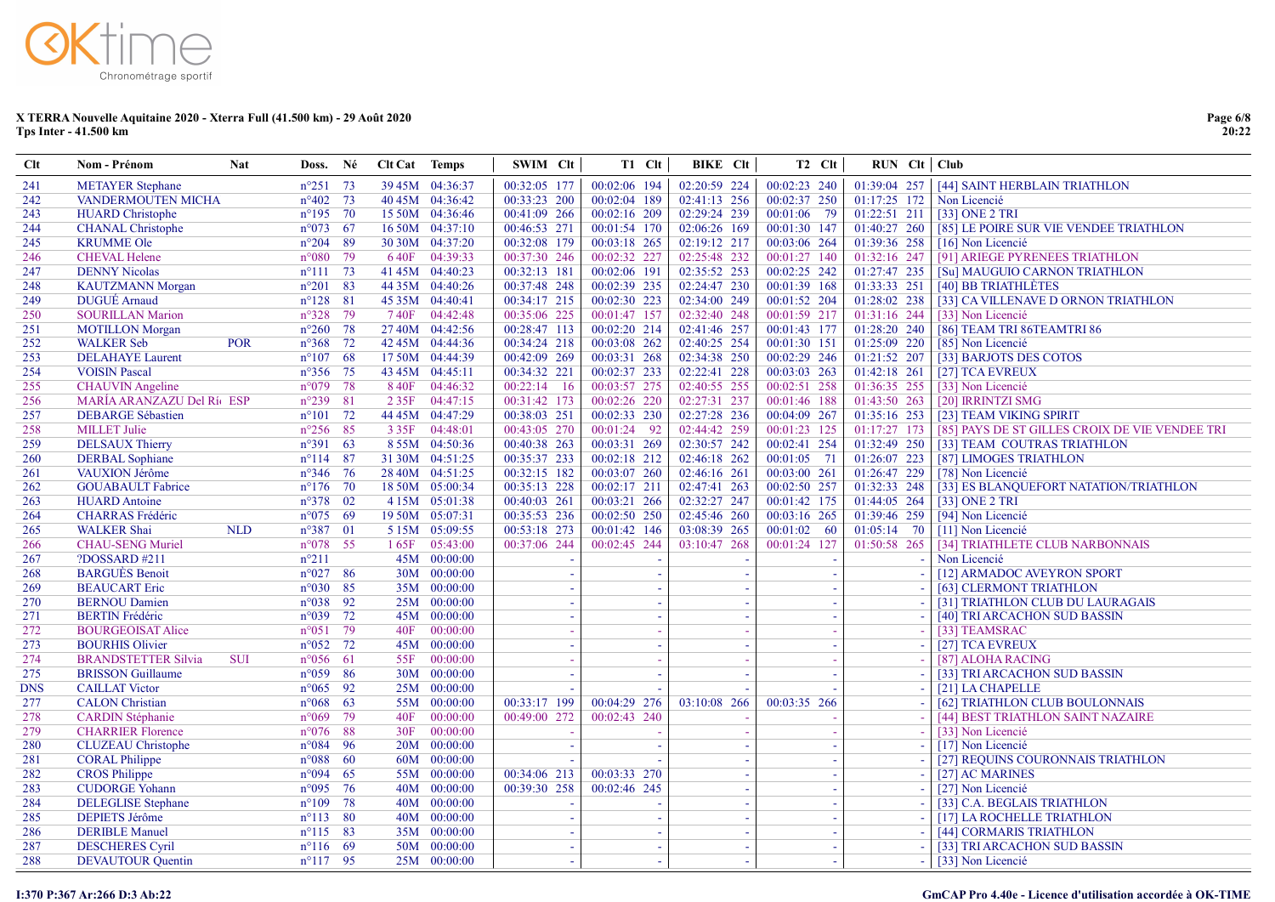| $Cl$       | <b>Nom - Prénom</b>                                 | <b>Nat</b> | Doss.                               | Né   | <b>Clt Cat</b> Temps |                          | SWIM Clt                     |        | T1 Clt                       | <b>BIKE</b> CIt          | T <sub>2</sub> C <sub>It</sub> |     | $RUN$ Clt $ $ Club |                                                        |
|------------|-----------------------------------------------------|------------|-------------------------------------|------|----------------------|--------------------------|------------------------------|--------|------------------------------|--------------------------|--------------------------------|-----|--------------------|--------------------------------------------------------|
| 241        | <b>METAYER Stephane</b>                             |            | $n^{\circ}251$ 73                   |      |                      | 39 45M 04:36:37          | 00:32:05 177                 |        | 00:02:06 194                 | 02:20:59 224             | 00:02:23 240                   |     |                    | 01:39:04 257   [44] SAINT HERBLAIN TRIATHLON           |
| 242        | VANDERMOUTEN MICHA                                  |            | $n^{\circ}402$ 73                   |      |                      | 40 45M 04:36:42          | 00:33:23 200                 |        | 00:02:04 189                 | 02:41:13 256             | 00:02:37 250                   |     | 01:17:25 172       | Non Licencié                                           |
| 243        | <b>HUARD</b> Christophe                             |            | $n^{\circ}195$ 70                   |      |                      | 15 50M 04:36:46          | 00:41:09 266                 |        | 00:02:16 209                 | 02:29:24 239             | 00:01:06 79                    |     | 01:22:51 211       | [33] ONE 2 TRI                                         |
| 244        | <b>CHANAL Christophe</b>                            |            | $n^{\circ}073$ 67                   |      |                      | 16 50M 04:37:10          | 00:46:53 271                 |        | 00:01:54 170                 | 02:06:26 169             | 00:01:30 147                   |     | 01:40:27 260       | [85] LE POIRE SUR VIE VENDEE TRIATHLON                 |
| 245        | <b>KRUMME Ole</b>                                   |            | $n^{\circ}204$ 89                   |      |                      | 30 30M 04:37:20          | 00:32:08 179                 |        | 00:03:18 265                 | 02:19:12 217             | 00:03:06 264                   |     | 01:39:36 258       | [16] Non Licencié                                      |
| 246        | <b>CHEVAL Helene</b>                                |            | $n^{\circ}080$                      | 79   |                      | 640F 04:39:33            | 00:37:30 246                 |        | 00:02:32 227                 | 02:25:48 232             | 00:01:27 140                   |     | 01:32:16 247       | [91] ARIEGE PYRENEES TRIATHLON                         |
| 247        | <b>DENNY Nicolas</b>                                |            | $n^{\circ}111$ 73                   |      |                      | 41 45M 04:40:23          | 00:32:13 181                 |        | 00:02:06 191                 | 02:35:52 253             | 00:02:25 242                   |     | 01:27:47 235       | [Su] MAUGUIO CARNON TRIATHLON                          |
| 248        | <b>KAUTZMANN Morgan</b>                             |            | $n^{\circ}201$                      | 83   |                      | 44 35M 04:40:26          | 00:37:48 248                 |        | 00:02:39 235                 | 02:24:47 230             | 00:01:39 168                   |     | 01:33:33 251       | [40] BB TRIATHLÈTES                                    |
| 249        | <b>DUGUÉ</b> Arnaud                                 |            | $n^{\circ}128$ 81                   |      |                      | 45 35M 04:40:41          | 00:34:17 215                 |        | 00:02:30 223                 | 02:34:00 249             | 00:01:52 204                   |     | 01:28:02 238       | [33] CA VILLENAVE D ORNON TRIATHLON                    |
| 250        | <b>SOURILLAN Marion</b>                             |            | $n^{\circ}328$                      | 79   |                      | 740F 04:42:48            | 00:35:06 225                 |        | 00:01:47 157                 | 02:32:40 248             | 00:01:59 217                   |     | $01:31:16$ 244     | [33] Non Licencié                                      |
| 251        | <b>MOTILLON</b> Morgan                              |            | $n^{\circ}260$ 78                   |      |                      | 27 40M 04:42:56          | 00:28:47 113                 |        | 00:02:20 214                 | 02:41:46 257             | 00:01:43 177                   |     | 01:28:20 240       | [86] TEAM TRI 86TEAMTRI 86                             |
| 252        | <b>WALKER Seb</b>                                   | <b>POR</b> | $n^{\circ}368$                      | 72   |                      | 42 45M 04:44:36          | 00:34:24 218                 |        | 00:03:08 262                 | 02:40:25 254             | 00:01:30 151                   |     | $01:25:09$ 220     | [85] Non Licencié                                      |
| 253        | <b>DELAHAYE</b> Laurent                             |            | $n^{\circ}107$ 68                   |      |                      | 17 50M 04:44:39          | 00:42:09 269                 |        | 00:03:31 268                 | 02:34:38 250             | 00:02:29 246                   |     | 01:21:52 207       | [33] BARJOTS DES COTOS                                 |
| 254        | <b>VOISIN Pascal</b>                                |            | n°356 75                            |      |                      | 43 45M 04:45:11          | 00:34:32 221                 |        | 00:02:37 233                 | 02:22:41 228             | 00:03:03 263                   |     | $01:42:18$ 261     | [27] TCA EVREUX                                        |
| 255        | <b>CHAUVIN</b> Angeline                             |            | $n°079$ 78                          |      |                      | 8 40F 04:46:32           | $00:22:14$ 16                |        | 00:03:57 275                 | 02:40:55 255             | 00:02:51 258                   |     | 01:36:35 255       | [33] Non Licencié                                      |
| 256        | MARÍA ARANZAZU Del Ríc ESP                          |            | $n^{\circ}239$                      | 81   | 2 3 5 F              | 04:47:15                 | 00:31:42 173                 |        | 00:02:26 220                 | 02:27:31 237             | 00:01:46 188                   |     | 01:43:50 263       | [20] IRRINTZI SMG                                      |
| 257        | <b>DEBARGE Sébastien</b>                            |            | $n^{\circ}101$ 72                   |      |                      | 44 45M 04:47:29          | 00:38:03 251                 |        | 00:02:33 230                 | 02:27:28 236             | 00:04:09 267                   |     | $01:35:16$ 253     | [23] TEAM VIKING SPIRIT                                |
| 258        | <b>MILLET Julie</b>                                 |            | $n^{\circ}256$                      | 85   |                      | 3 35F 04:48:01           | 00:43:05 270                 |        | 00:01:24 92                  | 02:44:42 259             | 00:01:23 125                   |     | $01:17:27$ 173     | [85] PAYS DE ST GILLES CROIX DE VIE VENDEE TRI         |
| 259        | <b>DELSAUX Thierry</b>                              |            | $n^{\circ}391$ 63                   |      |                      | 8 55M 04:50:36           | 00:40:38 263                 |        | 00:03:31 269                 | 02:30:57 242             | 00:02:41 254                   |     | 01:32:49 250       | [33] TEAM COUTRAS TRIATHLON                            |
| 260        | <b>DERBAL</b> Sophiane                              |            | $n^{\circ}114$                      | 87   |                      | 31 30M 04:51:25          | 00:35:37 233                 |        | 00:02:18 212                 | 02:46:18 262             | 00:01:05 71                    |     | 01:26:07 223       | [87] LIMOGES TRIATHLON                                 |
| 261        | VAUXION Jérôme                                      |            | $n^{\circ}346$ 76                   |      |                      | 28 40M 04:51:25          | 00:32:15 182                 |        | 00:03:07 260                 | 02:46:16 261             | 00:03:00 261                   |     | 01:26:47 229       | [78] Non Licencié                                      |
| 262        | <b>GOUABAULT</b> Fabrice                            |            | $n^{\circ}176$ 70                   |      |                      | 18 50M 05:00:34          | 00:35:13 228                 |        | 00:02:17 211                 | 02:47:41 263             | 00:02:50 257                   |     | 01:32:33 248       | [33] ES BLANQUEFORT NATATION/TRIATHLON                 |
| 263        | <b>HUARD</b> Antoine                                |            | $n^{\circ}378$ 02                   |      |                      | 4 15M 05:01:38           | 00:40:03 261                 |        | 00:03:21 266                 | 02:32:27 247             | 00:01:42 175                   |     | 01:44:05 264       | [33] ONE 2 TRI                                         |
| 264        | <b>CHARRAS</b> Frédéric                             |            | $n^{\circ}075$ 69                   |      |                      | 19 50M 05:07:31          | 00:35:53 236                 |        | 00:02:50 250                 | 02:45:46 260             | 00:03:16 265                   |     | 01:39:46 259       | [94] Non Licencié                                      |
| 265        | <b>WALKER Shai</b>                                  | <b>NLD</b> | $n^{\circ}387$ 01                   |      |                      | 5 15M 05:09:55           | 00:53:18 273                 |        | 00:01:42 146                 | 03:08:39 265             | $00:01:02$ 60                  |     | $01:05:14$ 70      | [11] Non Licencié                                      |
| 266        | <b>CHAU-SENG Muriel</b>                             |            | $n^{\circ}078$ 55                   |      | 165F                 | 05:43:00                 | 00:37:06 244                 |        | 00:02:45 244                 | 03:10:47 268             | 00:01:24 127                   |     | 01:50:58 265       | [34] TRIATHLETE CLUB NARBONNAIS                        |
| 267        | ?DOSSARD #211                                       |            | $n^{\circ}211$                      |      |                      | 45M 00:00:00             |                              |        |                              |                          |                                |     |                    | Non Licencié                                           |
| 268        | <b>BARGUÈS Benoit</b>                               |            | $n^{\circ}027$ 86                   |      |                      | 30M 00:00:00             |                              |        | $\sim$                       |                          |                                |     |                    | [12] ARMADOC AVEYRON SPORT                             |
| 269        | <b>BEAUCART</b> Eric                                |            | $n^{\circ}030$ 85                   |      |                      | 35M 00:00:00             |                              |        | $\blacksquare$               |                          |                                |     |                    | [63] CLERMONT TRIATHLON                                |
| 270        | <b>BERNOU Damien</b>                                |            | $n^{\circ}038$ 92                   |      |                      | 25M 00:00:00             |                              |        | $\sim$                       |                          |                                |     |                    | [31] TRIATHLON CLUB DU LAURAGAIS                       |
| 271        | <b>BERTIN</b> Frédéric                              |            | $n^{\circ}039$ 72                   |      |                      | 45M 00:00:00             |                              |        | $\sim$                       | $\sim$                   |                                |     |                    | [40] TRI ARCACHON SUD BASSIN                           |
| 272        | <b>BOURGEOISAT Alice</b>                            |            | $n^{\circ}051$                      | 79   | 40F                  | 00:00:00                 |                              |        | $\sim$                       |                          |                                |     |                    | [33] TEAMSRAC                                          |
| 273        | <b>BOURHIS Olivier</b>                              |            | $n^{\circ}052$ 72                   |      |                      | 45M 00:00:00             |                              |        | $\sim$                       | $\overline{\phantom{a}}$ |                                |     |                    | [27] TCA EVREUX                                        |
| 274        | <b>BRANDSTETTER Silvia</b>                          | <b>SUI</b> | $n^{\circ}056$ 61                   |      | 55F                  | 00:00:00                 |                              |        | $\sim$                       | $\overline{\phantom{a}}$ |                                |     |                    | [87] ALOHA RACING                                      |
| 275        | <b>BRISSON</b> Guillaume                            |            | $n^{\circ}059$ 86                   |      |                      | 30M 00:00:00             |                              |        | $\sim$                       |                          |                                |     |                    | [33] TRI ARCACHON SUD BASSIN                           |
| <b>DNS</b> | <b>CAILLAT Victor</b>                               |            | $n^{\circ}065$                      | 92   |                      | 25M 00:00:00             |                              |        |                              |                          |                                |     |                    | [21] LA CHAPELLE                                       |
| 277        | <b>CALON</b> Christian                              |            | $n^{\circ}068$ 63                   | 79   |                      | 55M 00:00:00<br>00:00:00 | 00:33:17 199<br>00:49:00 272 |        | 00:04:29 276<br>00:02:43 240 | 03:10:08 266             | 00:03:35 266                   |     |                    | [62] TRIATHLON CLUB BOULONNAIS                         |
| 278<br>279 | <b>CARDIN Stéphanie</b><br><b>CHARRIER Florence</b> |            | $n^{\circ}069$<br>$n^{\circ}076$ 88 |      | 40F<br>30F           | 00:00:00                 |                              |        |                              |                          |                                |     |                    | [44] BEST TRIATHLON SAINT NAZAIRE<br>[33] Non Licencié |
| 280        |                                                     |            | $n^{\circ}084$                      | - 96 |                      | 20M 00:00:00             |                              |        | $\sim$                       | $\sim$                   |                                |     |                    | [17] Non Licencié                                      |
|            | <b>CLUZEAU</b> Christophe                           |            |                                     |      |                      | 60M 00:00:00             |                              |        | $\sim$                       | $\sim$                   |                                |     |                    |                                                        |
| 281<br>282 | <b>CORAL Philippe</b><br><b>CROS Philippe</b>       |            | $n^{\circ}088$ 60<br>$n^{\circ}094$ | 65   |                      | 55M 00:00:00             | 00:34:06 213                 |        | 00:03:33 270                 | $\sim$<br>$\sim$         |                                | ÷.  |                    | [27] REQUINS COURONNAIS TRIATHLON<br>[27] AC MARINES   |
| 283        | <b>CUDORGE Yohann</b>                               |            | $n^{\circ}095$ 76                   |      |                      | 40M 00:00:00             | 00:39:30 258                 |        | 00:02:46 245                 | $\sim$                   |                                | - 1 |                    | [27] Non Licencié                                      |
| 284        | <b>DELEGLISE</b> Stephane                           |            | $n^{\circ}109$ 78                   |      |                      | 40M 00:00:00             |                              |        |                              | $\sim$                   |                                | - 1 |                    | [33] C.A. BEGLAIS TRIATHLON                            |
| 285        | <b>DEPIETS Jérôme</b>                               |            | $n^{\circ}113$ 80                   |      |                      | 40M 00:00:00             |                              | - 1    | $\sim$                       | $\sim$                   |                                | - 1 |                    | [17] LA ROCHELLE TRIATHLON                             |
| 286        | <b>DERIBLE Manuel</b>                               |            | $n^{\circ}115$ 83                   |      |                      | 35M 00:00:00             |                              |        | $\omega$                     | $\sim$                   |                                |     |                    | [44] CORMARIS TRIATHLON                                |
| 287        | <b>DESCHERES Cyril</b>                              |            | $n^{\circ}116$ 69                   |      |                      | 50M 00:00:00             |                              | $\sim$ | $\omega$                     | $\sim$                   |                                | . — |                    | [33] TRI ARCACHON SUD BASSIN                           |
| 288        | <b>DEVAUTOUR Quentin</b>                            |            | $n^{\circ}117$ 95                   |      |                      | 25M 00:00:00             |                              | $\sim$ | ÷.                           | $\sim$                   |                                | - 1 |                    | [33] Non Licencié                                      |
|            |                                                     |            |                                     |      |                      |                          |                              |        |                              |                          |                                |     |                    |                                                        |

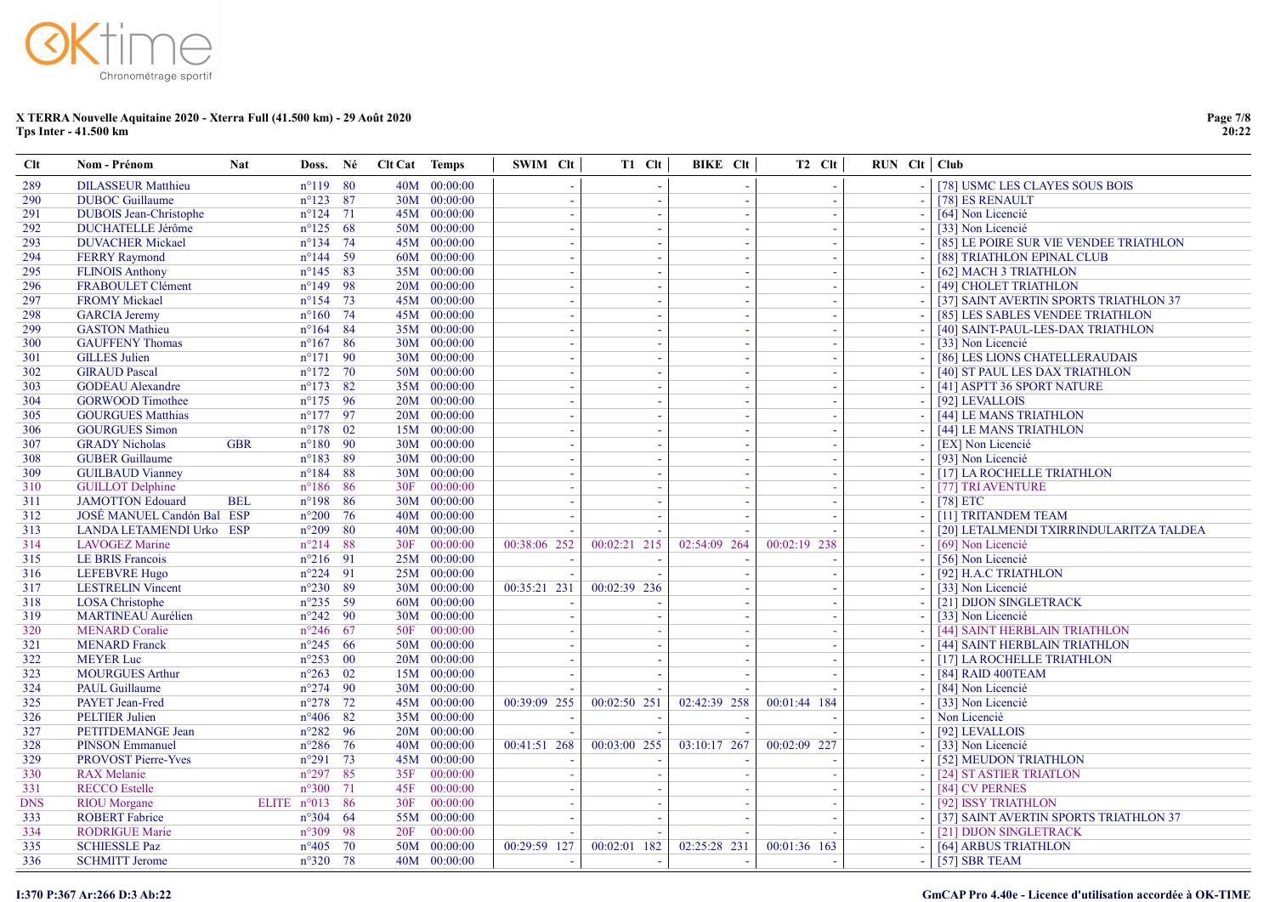| Clt               | Nom - Prénom                                     | <b>Nat</b>                                   | Doss. Né | Clt Cat Temps |                          | SWIM Clt         | T1 Clt       | BIKE Clt                         | T <sub>2</sub> C <sub>It</sub> | $RUN$ $Clt$ $Club$ |                                                                  |
|-------------------|--------------------------------------------------|----------------------------------------------|----------|---------------|--------------------------|------------------|--------------|----------------------------------|--------------------------------|--------------------|------------------------------------------------------------------|
| 289               | <b>DILASSEUR Matthieu</b>                        | $n^{\circ}119$ 80                            |          |               | 40M 00:00:00             |                  |              |                                  |                                |                    | [78] USMC LES CLAYES SOUS BOIS                                   |
| 290               | <b>DUBOC</b> Guillaume                           | $n^{\circ}123$ 87                            |          |               | 30M 00:00:00             | $\sim$           | $\sim$       | $\overline{\phantom{a}}$         | $\sim$                         |                    | [78] ES RENAULT                                                  |
| 291               | <b>DUBOIS</b> Jean-Christophe                    | $n^{\circ}124$ 71                            |          |               | 45M 00:00:00             | $\sim$           | ٠.           | - 11                             |                                |                    | [64] Non Licencié                                                |
| 292               | <b>DUCHATELLE Jérôme</b>                         | $n^{\circ}125$ 68                            |          |               | 50M 00:00:00             | $\sim$           | - 1          | $\sim$                           | $\sim$                         |                    | [33] Non Licencié                                                |
| 293               | <b>DUVACHER Mickael</b>                          | $n^{\circ}134$ 74                            |          |               | 45M 00:00:00             | ÷.               |              | - 11                             |                                |                    | [85] LE POIRE SUR VIE VENDEE TRIATHLON                           |
| 294               | <b>FERRY Raymond</b>                             | $n^{\circ}144$ 59                            |          |               | 60M 00:00:00             | $\sim$           | - 1          | $\sim$                           | $\sim$                         |                    | [88] TRIATHLON EPINAL CLUB                                       |
| 295               | <b>FLINOIS Anthony</b>                           | $n^{\circ}145$ 83                            |          |               | 35M 00:00:00             |                  |              | $\overline{\phantom{a}}$         |                                |                    | [62] MACH 3 TRIATHLON                                            |
| 296               | FRABOULET Clément                                | $n^{\circ}149$ 98                            |          |               | 20M 00:00:00             | $\sim$           |              | $\overline{\phantom{a}}$         |                                |                    | [49] CHOLET TRIATHLON                                            |
| 297               | <b>FROMY Mickael</b>                             | $n^{\circ}154$ 73                            |          |               | 45M 00:00:00             |                  |              | $\sim$                           |                                |                    | [37] SAINT AVERTIN SPORTS TRIATHLON 37                           |
| 298               | <b>GARCIA Jeremy</b>                             | $n^{\circ}160$ 74                            |          |               | 45M 00:00:00             |                  |              | <b>.</b>                         |                                |                    | [85] LES SABLES VENDEE TRIATHLON                                 |
| 299               | <b>GASTON</b> Mathieu                            | $n^{\circ}164$ 84                            |          |               | 35M 00:00:00             |                  |              | $\sim$                           |                                |                    | [40] SAINT-PAUL-LES-DAX TRIATHLON                                |
| 300               | <b>GAUFFENY Thomas</b>                           | $n^{\circ}167$ 86                            |          |               | 30M 00:00:00             | ÷.               |              | <b>.</b>                         |                                |                    | [33] Non Licencié                                                |
| 301               | <b>GILLES</b> Julien                             | $n^{\circ}171$ 90                            |          |               | 30M 00:00:00             |                  |              |                                  |                                |                    | [86] LES LIONS CHATELLERAUDAIS                                   |
| 302               | <b>GIRAUD Pascal</b>                             | $n^{\circ}172$ 70                            |          |               | 50M 00:00:00             |                  |              |                                  |                                |                    | [40] ST PAUL LES DAX TRIATHLON                                   |
| 303               | <b>GODEAU</b> Alexandre                          | $n^{\circ}173$ 82                            |          |               | 35M 00:00:00             |                  |              |                                  |                                |                    | [41] ASPTT 36 SPORT NATURE                                       |
| 304               | <b>GORWOOD Timothee</b>                          | $n^{\circ}175$ 96                            |          |               | 20M 00:00:00             |                  |              |                                  |                                |                    | [92] LEVALLOIS                                                   |
| 305               | <b>GOURGUES Matthias</b>                         | $n^{\circ}177$ 97                            |          |               | 20M 00:00:00             |                  |              |                                  |                                |                    | [44] LE MANS TRIATHLON                                           |
| 306               | <b>GOURGUES Simon</b>                            | $n^{\circ}178$ 02                            |          |               | 15M 00:00:00             |                  |              |                                  |                                |                    | [44] LE MANS TRIATHLON                                           |
| 307               | <b>GRADY Nicholas</b>                            | <b>GBR</b><br>$n^{\circ}180$ 90              |          |               | 30M 00:00:00             |                  |              |                                  |                                |                    | [EX] Non Licencié                                                |
| 308               | <b>GUBER Guillaume</b>                           | $n^{\circ}183$ 89                            |          |               | 30M 00:00:00             |                  |              |                                  |                                |                    | [93] Non Licencié                                                |
| 309               | <b>GUILBAUD Vianney</b>                          | $n^{\circ}184$ 88                            |          |               | 30M 00:00:00             |                  |              |                                  |                                |                    | [17] LA ROCHELLE TRIATHLON                                       |
| 310               | <b>GUILLOT Delphine</b>                          | $n^{\circ}186$ 86                            |          | 30F           | 00:00:00                 |                  |              |                                  |                                |                    | [77] TRI AVENTURE                                                |
| 311               | <b>JAMOTTON Edouard</b>                          | $n^{\circ}198$ 86<br><b>BEL</b>              |          |               | 30M 00:00:00             |                  |              |                                  |                                |                    | $[78]$ ETC                                                       |
| 312               | JOSÉ MANUEL Candón Ball ESP                      | $n^{\circ}200$ 76                            |          |               | 40M 00:00:00             |                  |              |                                  |                                |                    | [11] TRITANDEM TEAM                                              |
| 313               | LANDA LETAMENDI Urko ESP                         | $n^{\circ}209$ 80                            |          |               | 40M 00:00:00             |                  |              |                                  |                                |                    | [20] LETALMENDI TXIRRINDULARITZA TALDEA                          |
| 314               | <b>LAVOGEZ Marine</b>                            | $n^{\circ}214$ 88                            |          | 30F           | 00:00:00                 | 00:38:06 252     | 00:02:21 215 | 02:54:09 264                     | 00:02:19 238                   |                    | [69] Non Licencié                                                |
| 315               | <b>LE BRIS Francois</b>                          | $n^{\circ}216$ 91                            |          |               | 25M 00:00:00             | ÷,               |              |                                  |                                |                    | [56] Non Licencié                                                |
| 316               | <b>LEFEBVRE Hugo</b>                             | $n^{\circ}224$ 91                            |          |               | 25M 00:00:00             |                  |              |                                  |                                |                    | [92] H.A.C TRIATHLON                                             |
| 317               | <b>LESTRELIN Vincent</b>                         | $n^{\circ}230$ 89                            |          |               | 30M 00:00:00             | 00:35:21 231     | 00:02:39 236 | $\overline{\phantom{a}}$         |                                |                    | [33] Non Licencié                                                |
| 318               | <b>LOSA</b> Christophe                           | $n^{\circ}235$ 59                            |          |               | 60M 00:00:00             |                  |              |                                  |                                |                    | [21] DIJON SINGLETRACK                                           |
| 319               | <b>MARTINEAU Aurélien</b>                        | $n^{\circ}242$ 90                            |          |               | 30M 00:00:00             |                  |              | $\overline{\phantom{a}}$         |                                |                    | [33] Non Licencié                                                |
| 320               | <b>MENARD</b> Coralie                            | $n^{\circ}246$ 67                            |          | 50F           | 00:00:00                 |                  |              |                                  |                                |                    | [44] SAINT HERBLAIN TRIATHLON                                    |
| 321               | <b>MENARD</b> Franck                             | $n^{\circ}245$ 66                            |          |               | 50M 00:00:00             |                  |              | $\overline{\phantom{a}}$         |                                |                    | [44] SAINT HERBLAIN TRIATHLON                                    |
| 322               | <b>MEYER Luc</b>                                 | $n^{\circ}253$ 00                            |          |               | 20M 00:00:00             | $\sim$           |              | $\overline{\phantom{a}}$         |                                |                    | [17] LA ROCHELLE TRIATHLON                                       |
| 323               | <b>MOURGUES Arthur</b>                           | $n^{\circ}263$ 02                            |          |               | 15M 00:00:00             | $\sim$           |              | $\sim$                           |                                |                    | [84] RAID 400TEAM                                                |
| 324               | <b>PAUL Guillaume</b>                            | $n^{\circ}274$ 90                            |          |               | 30M 00:00:00             |                  |              |                                  |                                |                    | [84] Non Licencié                                                |
| 325               | <b>PAYET</b> Jean-Fred                           | $n^{\circ}278$ 72                            |          |               | 45M 00:00:00             | 00:39:09 255     | 00:02:50 251 | 02:42:39 258                     | 00:01:44 184                   |                    | [33] Non Licencié                                                |
| 326               | <b>PELTIER Julien</b>                            | $n^{\circ}406$ 82                            |          |               | 35M 00:00:00             | $\sim$           |              |                                  |                                |                    | Non Licencié                                                     |
| 327               | PETITDEMANGE Jean                                | $n^{\circ}282$ 96                            |          |               | 20M 00:00:00             | 00:41:51 268     | 00:03:00 255 |                                  |                                |                    | [92] LEVALLOIS                                                   |
| 328               | <b>PINSON Emmanuel</b>                           | $n^{\circ}286$ 76                            |          |               | 40M 00:00:00             |                  |              | $03:10:17$ 267                   | 00:02:09<br>227                |                    | [33] Non Licencié                                                |
| 329               | <b>PROVOST Pierre-Yves</b><br><b>RAX</b> Melanie | $n^{\circ}291$ 73<br>$n^{\circ}297$ 85       |          |               | 45M 00:00:00<br>00:00:00 | $\sim$           |              | <b>.</b><br>$\sim$               |                                |                    | [52] MEUDON TRIATHLON                                            |
| 330               |                                                  | $n^{\circ}300$ 71                            |          | 35F           |                          |                  | - 1          |                                  |                                |                    | [24] ST ASTIER TRIATLON                                          |
| 331               | <b>RECCO</b> Estelle                             |                                              |          | 45F           | 00:00:00<br>00:00:00     | $\sim$           | - 1          | $\sim$                           | - 1                            | - 1                | [84] CV PERNES                                                   |
| <b>DNS</b><br>333 | <b>RIOU</b> Morgane<br><b>ROBERT</b> Fabrice     | ELITE $n^{\circ}013$ 86<br>$n^{\circ}304$ 64 |          | 30F           | 55M 00:00:00             | $\sim$<br>$\sim$ | - 1          | - 11<br>$\overline{\phantom{a}}$ | $\sim$                         |                    | [92] ISSY TRIATHLON                                              |
| 334               | <b>RODRIGUE Marie</b>                            | $n^{\circ}309$ 98                            |          | 20F           | 00:00:00                 |                  | - 4          |                                  |                                |                    | [37] SAINT AVERTIN SPORTS TRIATHLON 37<br>[21] DIJON SINGLETRACK |
| 335               | <b>SCHIESSLE Paz</b>                             | $n^{\circ}405$ 70                            |          |               | 50M 00:00:00             | 00:29:59 127     | 00:02:01 182 | 02:25:28 231                     | 00:01:36 163                   |                    | [64] ARBUS TRIATHLON                                             |
|                   |                                                  | $n^{\circ}320$ 78                            |          |               | 40M 00:00:00             |                  |              |                                  |                                |                    |                                                                  |
| 336               | <b>SCHMITT Jerome</b>                            |                                              |          |               |                          | $\sim$           | $\sim$       | $\sim$                           | $\sim$                         |                    | [57] SBR TEAM                                                    |